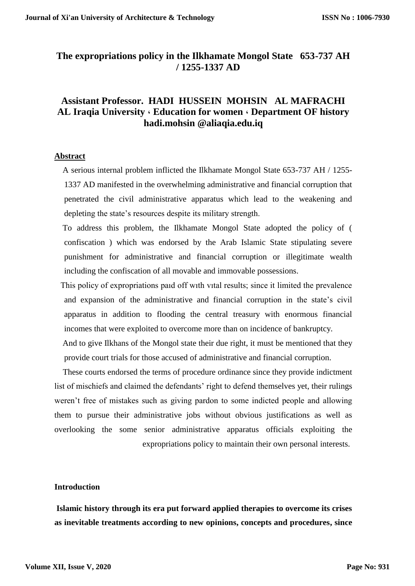## **The expropriations policy in the Ilkhamate Mongol State 653-737 AH / 1255-1337 AD**

## **Assistant Professor. HADI HUSSEIN MOHSIN AL MAFRACHI AL Iraqia University ، Education for women ، Department OF history hadi.mohsin @aliaqia.edu.iq**

#### **Abstract**

 A serious internal problem inflicted the Ilkhamate Mongol State 653-737 AH / 1255- 1337 AD manifested in the overwhelming administrative and financial corruption that penetrated the civil administrative apparatus which lead to the weakening and depleting the state's resources despite its military strength.

 To address this problem, the Ilkhamate Mongol State adopted the policy of ( confiscation ) which was endorsed by the Arab Islamic State stipulating severe punishment for administrative and financial corruption or illegitimate wealth including the confiscation of all movable and immovable possessions.

 This policy of expropriations paıd off wıth vıtal results; since it limited the prevalence and expansion of the administrative and financial corruption in the state's civil apparatus in addition to flooding the central treasury with enormous financial incomes that were exploited to overcome more than on incidence of bankruptcy.

 And to give Ilkhans of the Mongol state their due right, it must be mentioned that they provide court trials for those accused of administrative and financial corruption.

 These courts endorsed the terms of procedure ordinance since they provide indictment list of mischiefs and claimed the defendants' right to defend themselves yet, their rulings weren't free of mistakes such as giving pardon to some indicted people and allowing them to pursue their administrative jobs without obvious justifications as well as overlooking the some senior administrative apparatus officials exploiting the expropriations policy to maintain their own personal interests.

### **Introduction**

**Islamic history through its era put forward applied therapies to overcome its crises as inevitable treatments according to new opinions, concepts and procedures, since**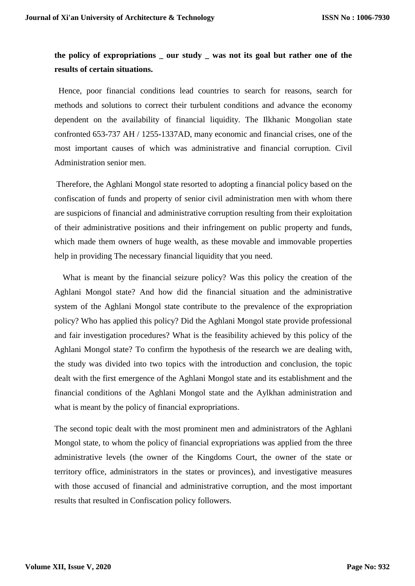# **the policy of expropriations \_ our study \_ was not its goal but rather one of the results of certain situations.**

 Hence, poor financial conditions lead countries to search for reasons, search for methods and solutions to correct their turbulent conditions and advance the economy dependent on the availability of financial liquidity. The Ilkhanic Mongolian state confronted 653-737 AH / 1255-1337AD, many economic and financial crises, one of the most important causes of which was administrative and financial corruption. Civil Administration senior men.

Therefore, the Aghlani Mongol state resorted to adopting a financial policy based on the confiscation of funds and property of senior civil administration men with whom there are suspicions of financial and administrative corruption resulting from their exploitation of their administrative positions and their infringement on public property and funds, which made them owners of huge wealth, as these movable and immovable properties help in providing The necessary financial liquidity that you need.

 What is meant by the financial seizure policy? Was this policy the creation of the Aghlani Mongol state? And how did the financial situation and the administrative system of the Aghlani Mongol state contribute to the prevalence of the expropriation policy? Who has applied this policy? Did the Aghlani Mongol state provide professional and fair investigation procedures? What is the feasibility achieved by this policy of the Aghlani Mongol state? To confirm the hypothesis of the research we are dealing with, the study was divided into two topics with the introduction and conclusion, the topic dealt with the first emergence of the Aghlani Mongol state and its establishment and the financial conditions of the Aghlani Mongol state and the Aylkhan administration and what is meant by the policy of financial expropriations.

The second topic dealt with the most prominent men and administrators of the Aghlani Mongol state, to whom the policy of financial expropriations was applied from the three administrative levels (the owner of the Kingdoms Court, the owner of the state or territory office, administrators in the states or provinces), and investigative measures with those accused of financial and administrative corruption, and the most important results that resulted in Confiscation policy followers.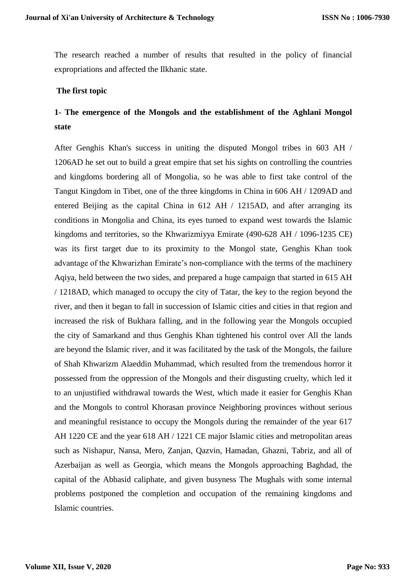The research reached a number of results that resulted in the policy of financial expropriations and affected the Ilkhanic state.

#### **The first topic**

# **1- The emergence of the Mongols and the establishment of the Aghlani Mongol state**

After Genghis Khan's success in uniting the disputed Mongol tribes in 603 AH / 1206AD he set out to build a great empire that set his sights on controlling the countries and kingdoms bordering all of Mongolia, so he was able to first take control of the Tangut Kingdom in Tibet, one of the three kingdoms in China in 606 AH / 1209AD and entered Beijing as the capital China in 612 AH / 1215AD, and after arranging its conditions in Mongolia and China, its eyes turned to expand west towards the Islamic kingdoms and territories, so the Khwarizmiyya Emirate (490-628 AH / 1096-1235 CE) was its first target due to its proximity to the Mongol state, Genghis Khan took advantage of the Khwarizhan Emirate's non-compliance with the terms of the machinery Aqiya, held between the two sides, and prepared a huge campaign that started in 615 AH / 1218AD, which managed to occupy the city of Tatar, the key to the region beyond the river, and then it began to fall in succession of Islamic cities and cities in that region and increased the risk of Bukhara falling, and in the following year the Mongols occupied the city of Samarkand and thus Genghis Khan tightened his control over All the lands are beyond the Islamic river, and it was facilitated by the task of the Mongols, the failure of Shah Khwarizm Alaeddin Muhammad, which resulted from the tremendous horror it possessed from the oppression of the Mongols and their disgusting cruelty, which led it to an unjustified withdrawal towards the West, which made it easier for Genghis Khan and the Mongols to control Khorasan province Neighboring provinces without serious and meaningful resistance to occupy the Mongols during the remainder of the year 617 AH 1220 CE and the year 618 AH / 1221 CE major Islamic cities and metropolitan areas such as Nishapur, Nansa, Mero, Zanjan, Qazvin, Hamadan, Ghazni, Tabriz, and all of Azerbaijan as well as Georgia, which means the Mongols approaching Baghdad, the capital of the Abbasid caliphate, and given busyness The Mughals with some internal problems postponed the completion and occupation of the remaining kingdoms and Islamic countries.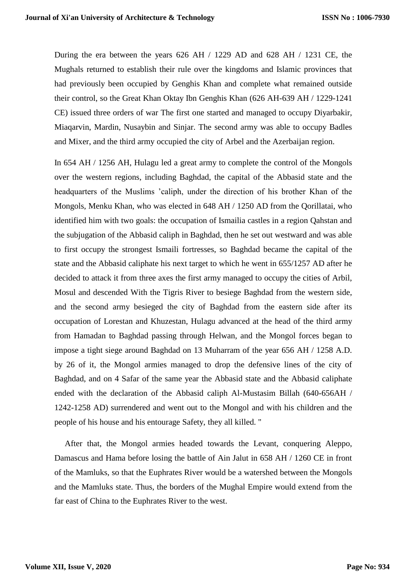During the era between the years 626 AH / 1229 AD and 628 AH / 1231 CE, the Mughals returned to establish their rule over the kingdoms and Islamic provinces that had previously been occupied by Genghis Khan and complete what remained outside their control, so the Great Khan Oktay Ibn Genghis Khan (626 AH-639 AH / 1229-1241 CE) issued three orders of war The first one started and managed to occupy Diyarbakir, Miaqarvin, Mardin, Nusaybin and Sinjar. The second army was able to occupy Badles and Mixer, and the third army occupied the city of Arbel and the Azerbaijan region.

In 654 AH / 1256 AH, Hulagu led a great army to complete the control of the Mongols over the western regions, including Baghdad, the capital of the Abbasid state and the headquarters of the Muslims 'caliph, under the direction of his brother Khan of the Mongols, Menku Khan, who was elected in 648 AH / 1250 AD from the Qorillatai, who identified him with two goals: the occupation of Ismailia castles in a region Qahstan and the subjugation of the Abbasid caliph in Baghdad, then he set out westward and was able to first occupy the strongest Ismaili fortresses, so Baghdad became the capital of the state and the Abbasid caliphate his next target to which he went in 655/1257 AD after he decided to attack it from three axes the first army managed to occupy the cities of Arbil, Mosul and descended With the Tigris River to besiege Baghdad from the western side, and the second army besieged the city of Baghdad from the eastern side after its occupation of Lorestan and Khuzestan, Hulagu advanced at the head of the third army from Hamadan to Baghdad passing through Helwan, and the Mongol forces began to impose a tight siege around Baghdad on 13 Muharram of the year 656 AH / 1258 A.D. by 26 of it, the Mongol armies managed to drop the defensive lines of the city of Baghdad, and on 4 Safar of the same year the Abbasid state and the Abbasid caliphate ended with the declaration of the Abbasid caliph Al-Mustasim Billah (640-656AH / 1242-1258 AD) surrendered and went out to the Mongol and with his children and the people of his house and his entourage Safety, they all killed. "

 After that, the Mongol armies headed towards the Levant, conquering Aleppo, Damascus and Hama before losing the battle of Ain Jalut in 658 AH / 1260 CE in front of the Mamluks, so that the Euphrates River would be a watershed between the Mongols and the Mamluks state. Thus, the borders of the Mughal Empire would extend from the far east of China to the Euphrates River to the west.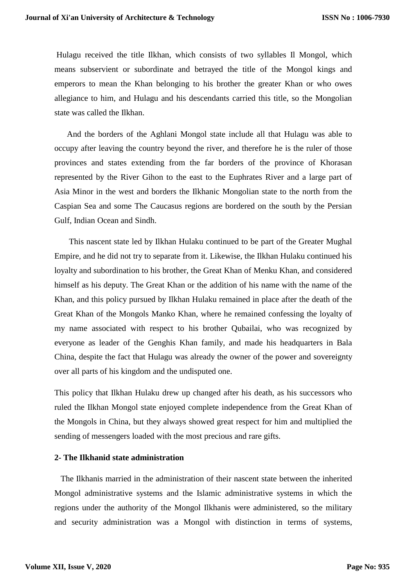Hulagu received the title Ilkhan, which consists of two syllables Il Mongol, which means subservient or subordinate and betrayed the title of the Mongol kings and emperors to mean the Khan belonging to his brother the greater Khan or who owes allegiance to him, and Hulagu and his descendants carried this title, so the Mongolian state was called the Ilkhan.

 And the borders of the Aghlani Mongol state include all that Hulagu was able to occupy after leaving the country beyond the river, and therefore he is the ruler of those provinces and states extending from the far borders of the province of Khorasan represented by the River Gihon to the east to the Euphrates River and a large part of Asia Minor in the west and borders the Ilkhanic Mongolian state to the north from the Caspian Sea and some The Caucasus regions are bordered on the south by the Persian Gulf, Indian Ocean and Sindh.

 This nascent state led by Ilkhan Hulaku continued to be part of the Greater Mughal Empire, and he did not try to separate from it. Likewise, the Ilkhan Hulaku continued his loyalty and subordination to his brother, the Great Khan of Menku Khan, and considered himself as his deputy. The Great Khan or the addition of his name with the name of the Khan, and this policy pursued by Ilkhan Hulaku remained in place after the death of the Great Khan of the Mongols Manko Khan, where he remained confessing the loyalty of my name associated with respect to his brother Qubailai, who was recognized by everyone as leader of the Genghis Khan family, and made his headquarters in Bala China, despite the fact that Hulagu was already the owner of the power and sovereignty over all parts of his kingdom and the undisputed one.

This policy that Ilkhan Hulaku drew up changed after his death, as his successors who ruled the Ilkhan Mongol state enjoyed complete independence from the Great Khan of the Mongols in China, but they always showed great respect for him and multiplied the sending of messengers loaded with the most precious and rare gifts.

#### **2- The Ilkhanid state administration**

 The Ilkhanis married in the administration of their nascent state between the inherited Mongol administrative systems and the Islamic administrative systems in which the regions under the authority of the Mongol Ilkhanis were administered, so the military and security administration was a Mongol with distinction in terms of systems,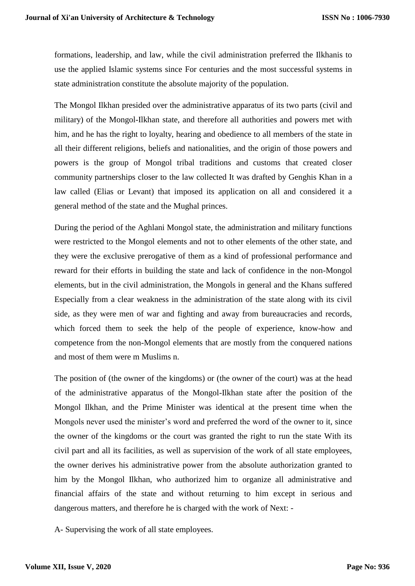formations, leadership, and law, while the civil administration preferred the Ilkhanis to use the applied Islamic systems since For centuries and the most successful systems in state administration constitute the absolute majority of the population.

The Mongol Ilkhan presided over the administrative apparatus of its two parts (civil and military) of the Mongol-Ilkhan state, and therefore all authorities and powers met with him, and he has the right to loyalty, hearing and obedience to all members of the state in all their different religions, beliefs and nationalities, and the origin of those powers and powers is the group of Mongol tribal traditions and customs that created closer community partnerships closer to the law collected It was drafted by Genghis Khan in a law called (Elias or Levant) that imposed its application on all and considered it a general method of the state and the Mughal princes.

During the period of the Aghlani Mongol state, the administration and military functions were restricted to the Mongol elements and not to other elements of the other state, and they were the exclusive prerogative of them as a kind of professional performance and reward for their efforts in building the state and lack of confidence in the non-Mongol elements, but in the civil administration, the Mongols in general and the Khans suffered Especially from a clear weakness in the administration of the state along with its civil side, as they were men of war and fighting and away from bureaucracies and records, which forced them to seek the help of the people of experience, know-how and competence from the non-Mongol elements that are mostly from the conquered nations and most of them were m Muslims n.

The position of (the owner of the kingdoms) or (the owner of the court) was at the head of the administrative apparatus of the Mongol-Ilkhan state after the position of the Mongol Ilkhan, and the Prime Minister was identical at the present time when the Mongols never used the minister's word and preferred the word of the owner to it, since the owner of the kingdoms or the court was granted the right to run the state With its civil part and all its facilities, as well as supervision of the work of all state employees, the owner derives his administrative power from the absolute authorization granted to him by the Mongol Ilkhan, who authorized him to organize all administrative and financial affairs of the state and without returning to him except in serious and dangerous matters, and therefore he is charged with the work of Next: -

A- Supervising the work of all state employees.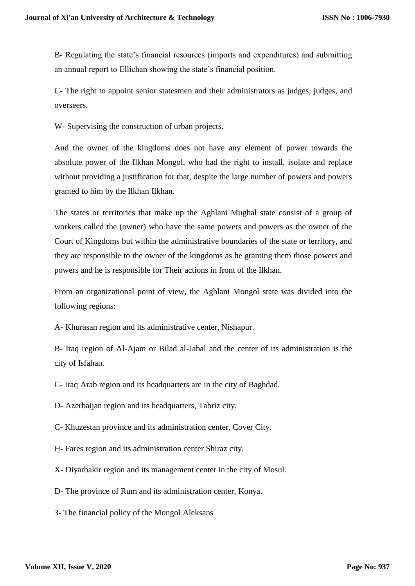B- Regulating the state's financial resources (imports and expenditures) and submitting an annual report to Ellichan showing the state's financial position.

C- The right to appoint senior statesmen and their administrators as judges, judges, and overseers.

W- Supervising the construction of urban projects.

And the owner of the kingdoms does not have any element of power towards the absolute power of the Ilkhan Mongol, who had the right to install, isolate and replace without providing a justification for that, despite the large number of powers and powers granted to him by the Ilkhan Ilkhan.

The states or territories that make up the Aghlani Mughal state consist of a group of workers called the (owner) who have the same powers and powers as the owner of the Court of Kingdoms but within the administrative boundaries of the state or territory, and they are responsible to the owner of the kingdoms as he granting them those powers and powers and he is responsible for Their actions in front of the Ilkhan.

From an organizational point of view, the Aghlani Mongol state was divided into the following regions:

A- Khurasan region and its administrative center, Nishapur.

B- Iraq region of Al-Ajam or Bilad al-Jabal and the center of its administration is the city of Isfahan.

C- Iraq Arab region and its headquarters are in the city of Baghdad.

D- Azerbaijan region and its headquarters, Tabriz city.

C- Khuzestan province and its administration center, Cover City.

H- Fares region and its administration center Shiraz city.

X- Diyarbakir region and its management center in the city of Mosul.

D- The province of Rum and its administration center, Konya.

3- The financial policy of the Mongol Aleksans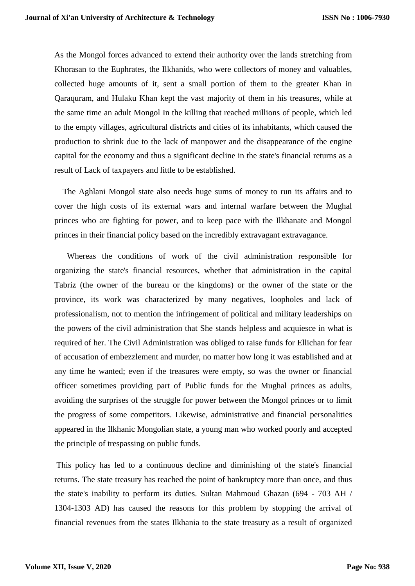As the Mongol forces advanced to extend their authority over the lands stretching from Khorasan to the Euphrates, the Ilkhanids, who were collectors of money and valuables, collected huge amounts of it, sent a small portion of them to the greater Khan in Qaraquram, and Hulaku Khan kept the vast majority of them in his treasures, while at the same time an adult Mongol In the killing that reached millions of people, which led to the empty villages, agricultural districts and cities of its inhabitants, which caused the production to shrink due to the lack of manpower and the disappearance of the engine capital for the economy and thus a significant decline in the state's financial returns as a result of Lack of taxpayers and little to be established.

 The Aghlani Mongol state also needs huge sums of money to run its affairs and to cover the high costs of its external wars and internal warfare between the Mughal princes who are fighting for power, and to keep pace with the Ilkhanate and Mongol princes in their financial policy based on the incredibly extravagant extravagance.

 Whereas the conditions of work of the civil administration responsible for organizing the state's financial resources, whether that administration in the capital Tabriz (the owner of the bureau or the kingdoms) or the owner of the state or the province, its work was characterized by many negatives, loopholes and lack of professionalism, not to mention the infringement of political and military leaderships on the powers of the civil administration that She stands helpless and acquiesce in what is required of her. The Civil Administration was obliged to raise funds for Ellichan for fear of accusation of embezzlement and murder, no matter how long it was established and at any time he wanted; even if the treasures were empty, so was the owner or financial officer sometimes providing part of Public funds for the Mughal princes as adults, avoiding the surprises of the struggle for power between the Mongol princes or to limit the progress of some competitors. Likewise, administrative and financial personalities appeared in the Ilkhanic Mongolian state, a young man who worked poorly and accepted the principle of trespassing on public funds.

This policy has led to a continuous decline and diminishing of the state's financial returns. The state treasury has reached the point of bankruptcy more than once, and thus the state's inability to perform its duties. Sultan Mahmoud Ghazan (694 - 703 AH / 1304-1303 AD) has caused the reasons for this problem by stopping the arrival of financial revenues from the states Ilkhania to the state treasury as a result of organized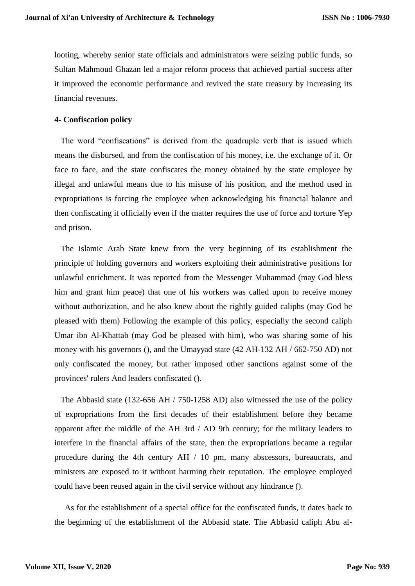looting, whereby senior state officials and administrators were seizing public funds, so Sultan Mahmoud Ghazan led a major reform process that achieved partial success after it improved the economic performance and revived the state treasury by increasing its financial revenues.

#### **4- Confiscation policy**

The word "confiscations" is derived from the quadruple verb that is issued which means the disbursed, and from the confiscation of his money, i.e. the exchange of it. Or face to face, and the state confiscates the money obtained by the state employee by illegal and unlawful means due to his misuse of his position, and the method used in expropriations is forcing the employee when acknowledging his financial balance and then confiscating it officially even if the matter requires the use of force and torture Yep and prison.

 The Islamic Arab State knew from the very beginning of its establishment the principle of holding governors and workers exploiting their administrative positions for unlawful enrichment. It was reported from the Messenger Muhammad (may God bless him and grant him peace) that one of his workers was called upon to receive money without authorization, and he also knew about the rightly guided caliphs (may God be pleased with them) Following the example of this policy, especially the second caliph Umar ibn Al-Khattab (may God be pleased with him), who was sharing some of his money with his governors (), and the Umayyad state (42 AH-132 AH / 662-750 AD) not only confiscated the money, but rather imposed other sanctions against some of the provinces' rulers And leaders confiscated ().

 The Abbasid state (132-656 AH / 750-1258 AD) also witnessed the use of the policy of expropriations from the first decades of their establishment before they became apparent after the middle of the AH 3rd / AD 9th century; for the military leaders to interfere in the financial affairs of the state, then the expropriations became a regular procedure during the 4th century AH / 10 pm, many abscessors, bureaucrats, and ministers are exposed to it without harming their reputation. The employee employed could have been reused again in the civil service without any hindrance ().

 As for the establishment of a special office for the confiscated funds, it dates back to the beginning of the establishment of the Abbasid state. The Abbasid caliph Abu al-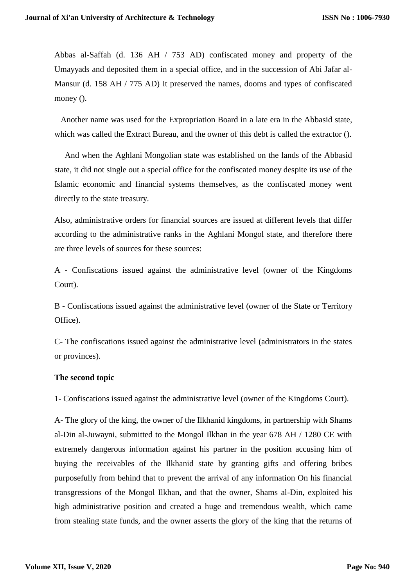Abbas al-Saffah (d. 136 AH / 753 AD) confiscated money and property of the Umayyads and deposited them in a special office, and in the succession of Abi Jafar al-Mansur (d. 158 AH / 775 AD) It preserved the names, dooms and types of confiscated money ().

 Another name was used for the Expropriation Board in a late era in the Abbasid state, which was called the Extract Bureau, and the owner of this debt is called the extractor ().

 And when the Aghlani Mongolian state was established on the lands of the Abbasid state, it did not single out a special office for the confiscated money despite its use of the Islamic economic and financial systems themselves, as the confiscated money went directly to the state treasury.

Also, administrative orders for financial sources are issued at different levels that differ according to the administrative ranks in the Aghlani Mongol state, and therefore there are three levels of sources for these sources:

A - Confiscations issued against the administrative level (owner of the Kingdoms Court).

B - Confiscations issued against the administrative level (owner of the State or Territory Office).

C- The confiscations issued against the administrative level (administrators in the states or provinces).

### **The second topic**

1- Confiscations issued against the administrative level (owner of the Kingdoms Court).

A- The glory of the king, the owner of the Ilkhanid kingdoms, in partnership with Shams al-Din al-Juwayni, submitted to the Mongol Ilkhan in the year 678 AH / 1280 CE with extremely dangerous information against his partner in the position accusing him of buying the receivables of the Ilkhanid state by granting gifts and offering bribes purposefully from behind that to prevent the arrival of any information On his financial transgressions of the Mongol Ilkhan, and that the owner, Shams al-Din, exploited his high administrative position and created a huge and tremendous wealth, which came from stealing state funds, and the owner asserts the glory of the king that the returns of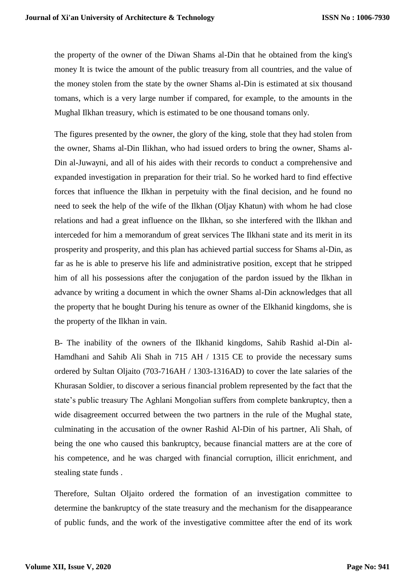the property of the owner of the Diwan Shams al-Din that he obtained from the king's money It is twice the amount of the public treasury from all countries, and the value of the money stolen from the state by the owner Shams al-Din is estimated at six thousand tomans, which is a very large number if compared, for example, to the amounts in the Mughal Ilkhan treasury, which is estimated to be one thousand tomans only.

The figures presented by the owner, the glory of the king, stole that they had stolen from the owner, Shams al-Din Ilikhan, who had issued orders to bring the owner, Shams al-Din al-Juwayni, and all of his aides with their records to conduct a comprehensive and expanded investigation in preparation for their trial. So he worked hard to find effective forces that influence the Ilkhan in perpetuity with the final decision, and he found no need to seek the help of the wife of the Ilkhan (Oljay Khatun) with whom he had close relations and had a great influence on the Ilkhan, so she interfered with the Ilkhan and interceded for him a memorandum of great services The Ilkhani state and its merit in its prosperity and prosperity, and this plan has achieved partial success for Shams al-Din, as far as he is able to preserve his life and administrative position, except that he stripped him of all his possessions after the conjugation of the pardon issued by the Ilkhan in advance by writing a document in which the owner Shams al-Din acknowledges that all the property that he bought During his tenure as owner of the Elkhanid kingdoms, she is the property of the Ilkhan in vain.

B- The inability of the owners of the Ilkhanid kingdoms, Sahib Rashid al-Din al-Hamdhani and Sahib Ali Shah in 715 AH / 1315 CE to provide the necessary sums ordered by Sultan Oljaito (703-716AH / 1303-1316AD) to cover the late salaries of the Khurasan Soldier, to discover a serious financial problem represented by the fact that the state's public treasury The Aghlani Mongolian suffers from complete bankruptcy, then a wide disagreement occurred between the two partners in the rule of the Mughal state, culminating in the accusation of the owner Rashid Al-Din of his partner, Ali Shah, of being the one who caused this bankruptcy, because financial matters are at the core of his competence, and he was charged with financial corruption, illicit enrichment, and stealing state funds .

Therefore, Sultan Oljaito ordered the formation of an investigation committee to determine the bankruptcy of the state treasury and the mechanism for the disappearance of public funds, and the work of the investigative committee after the end of its work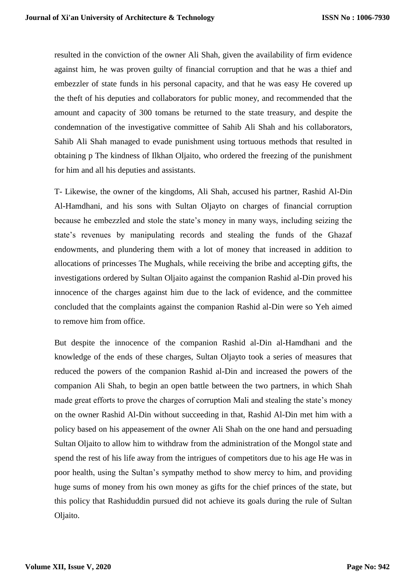resulted in the conviction of the owner Ali Shah, given the availability of firm evidence against him, he was proven guilty of financial corruption and that he was a thief and embezzler of state funds in his personal capacity, and that he was easy He covered up the theft of his deputies and collaborators for public money, and recommended that the amount and capacity of 300 tomans be returned to the state treasury, and despite the condemnation of the investigative committee of Sahib Ali Shah and his collaborators, Sahib Ali Shah managed to evade punishment using tortuous methods that resulted in obtaining p The kindness of Ilkhan Oljaito, who ordered the freezing of the punishment for him and all his deputies and assistants.

T- Likewise, the owner of the kingdoms, Ali Shah, accused his partner, Rashid Al-Din Al-Hamdhani, and his sons with Sultan Oljayto on charges of financial corruption because he embezzled and stole the state's money in many ways, including seizing the state's revenues by manipulating records and stealing the funds of the Ghazaf endowments, and plundering them with a lot of money that increased in addition to allocations of princesses The Mughals, while receiving the bribe and accepting gifts, the investigations ordered by Sultan Oljaito against the companion Rashid al-Din proved his innocence of the charges against him due to the lack of evidence, and the committee concluded that the complaints against the companion Rashid al-Din were so Yeh aimed to remove him from office.

But despite the innocence of the companion Rashid al-Din al-Hamdhani and the knowledge of the ends of these charges, Sultan Oljayto took a series of measures that reduced the powers of the companion Rashid al-Din and increased the powers of the companion Ali Shah, to begin an open battle between the two partners, in which Shah made great efforts to prove the charges of corruption Mali and stealing the state's money on the owner Rashid Al-Din without succeeding in that, Rashid Al-Din met him with a policy based on his appeasement of the owner Ali Shah on the one hand and persuading Sultan Oljaito to allow him to withdraw from the administration of the Mongol state and spend the rest of his life away from the intrigues of competitors due to his age He was in poor health, using the Sultan's sympathy method to show mercy to him, and providing huge sums of money from his own money as gifts for the chief princes of the state, but this policy that Rashiduddin pursued did not achieve its goals during the rule of Sultan Oliaito.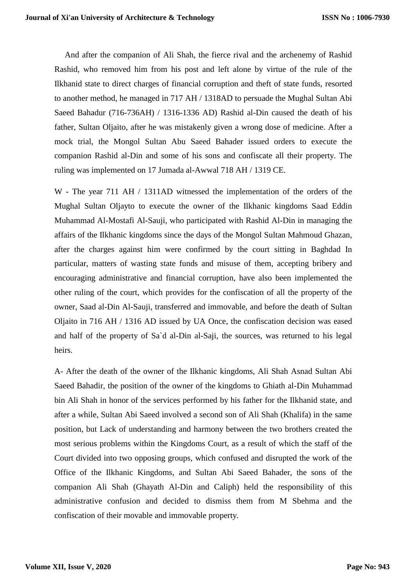And after the companion of Ali Shah, the fierce rival and the archenemy of Rashid Rashid, who removed him from his post and left alone by virtue of the rule of the Ilkhanid state to direct charges of financial corruption and theft of state funds, resorted to another method, he managed in 717 AH / 1318AD to persuade the Mughal Sultan Abi Saeed Bahadur (716-736AH) / 1316-1336 AD) Rashid al-Din caused the death of his father, Sultan Oljaito, after he was mistakenly given a wrong dose of medicine. After a mock trial, the Mongol Sultan Abu Saeed Bahader issued orders to execute the companion Rashid al-Din and some of his sons and confiscate all their property. The ruling was implemented on 17 Jumada al-Awwal 718 AH / 1319 CE.

W - The year 711 AH / 1311AD witnessed the implementation of the orders of the Mughal Sultan Oljayto to execute the owner of the Ilkhanic kingdoms Saad Eddin Muhammad Al-Mostafi Al-Sauji, who participated with Rashid Al-Din in managing the affairs of the Ilkhanic kingdoms since the days of the Mongol Sultan Mahmoud Ghazan, after the charges against him were confirmed by the court sitting in Baghdad In particular, matters of wasting state funds and misuse of them, accepting bribery and encouraging administrative and financial corruption, have also been implemented the other ruling of the court, which provides for the confiscation of all the property of the owner, Saad al-Din Al-Sauji, transferred and immovable, and before the death of Sultan Oljaito in 716 AH / 1316 AD issued by UA Once, the confiscation decision was eased and half of the property of Sa`d al-Din al-Saji, the sources, was returned to his legal heirs.

A- After the death of the owner of the Ilkhanic kingdoms, Ali Shah Asnad Sultan Abi Saeed Bahadir, the position of the owner of the kingdoms to Ghiath al-Din Muhammad bin Ali Shah in honor of the services performed by his father for the Ilkhanid state, and after a while, Sultan Abi Saeed involved a second son of Ali Shah (Khalifa) in the same position, but Lack of understanding and harmony between the two brothers created the most serious problems within the Kingdoms Court, as a result of which the staff of the Court divided into two opposing groups, which confused and disrupted the work of the Office of the Ilkhanic Kingdoms, and Sultan Abi Saeed Bahader, the sons of the companion Ali Shah (Ghayath Al-Din and Caliph) held the responsibility of this administrative confusion and decided to dismiss them from M Sbehma and the confiscation of their movable and immovable property.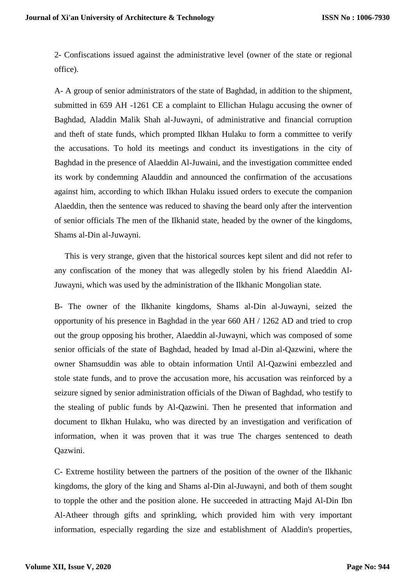2- Confiscations issued against the administrative level (owner of the state or regional office).

A- A group of senior administrators of the state of Baghdad, in addition to the shipment, submitted in 659 AH -1261 CE a complaint to Ellichan Hulagu accusing the owner of Baghdad, Aladdin Malik Shah al-Juwayni, of administrative and financial corruption and theft of state funds, which prompted Ilkhan Hulaku to form a committee to verify the accusations. To hold its meetings and conduct its investigations in the city of Baghdad in the presence of Alaeddin Al-Juwaini, and the investigation committee ended its work by condemning Alauddin and announced the confirmation of the accusations against him, according to which Ilkhan Hulaku issued orders to execute the companion Alaeddin, then the sentence was reduced to shaving the beard only after the intervention of senior officials The men of the Ilkhanid state, headed by the owner of the kingdoms, Shams al-Din al-Juwayni.

 This is very strange, given that the historical sources kept silent and did not refer to any confiscation of the money that was allegedly stolen by his friend Alaeddin Al-Juwayni, which was used by the administration of the Ilkhanic Mongolian state.

B- The owner of the Ilkhanite kingdoms, Shams al-Din al-Juwayni, seized the opportunity of his presence in Baghdad in the year 660 AH / 1262 AD and tried to crop out the group opposing his brother, Alaeddin al-Juwayni, which was composed of some senior officials of the state of Baghdad, headed by Imad al-Din al-Qazwini, where the owner Shamsuddin was able to obtain information Until Al-Qazwini embezzled and stole state funds, and to prove the accusation more, his accusation was reinforced by a seizure signed by senior administration officials of the Diwan of Baghdad, who testify to the stealing of public funds by Al-Qazwini. Then he presented that information and document to Ilkhan Hulaku, who was directed by an investigation and verification of information, when it was proven that it was true The charges sentenced to death Qazwini.

C- Extreme hostility between the partners of the position of the owner of the Ilkhanic kingdoms, the glory of the king and Shams al-Din al-Juwayni, and both of them sought to topple the other and the position alone. He succeeded in attracting Majd Al-Din Ibn Al-Atheer through gifts and sprinkling, which provided him with very important information, especially regarding the size and establishment of Aladdin's properties,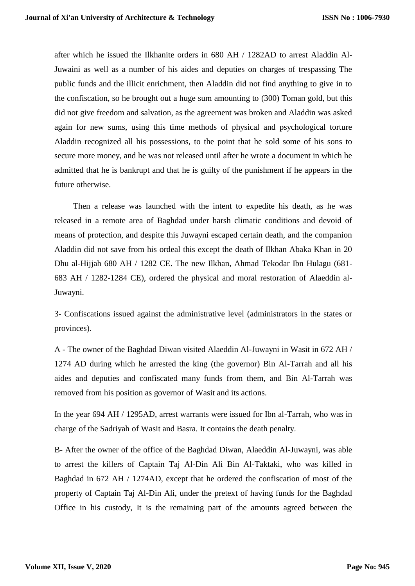after which he issued the Ilkhanite orders in 680 AH / 1282AD to arrest Aladdin Al-Juwaini as well as a number of his aides and deputies on charges of trespassing The public funds and the illicit enrichment, then Aladdin did not find anything to give in to the confiscation, so he brought out a huge sum amounting to (300) Toman gold, but this did not give freedom and salvation, as the agreement was broken and Aladdin was asked again for new sums, using this time methods of physical and psychological torture Aladdin recognized all his possessions, to the point that he sold some of his sons to secure more money, and he was not released until after he wrote a document in which he admitted that he is bankrupt and that he is guilty of the punishment if he appears in the future otherwise.

 Then a release was launched with the intent to expedite his death, as he was released in a remote area of Baghdad under harsh climatic conditions and devoid of means of protection, and despite this Juwayni escaped certain death, and the companion Aladdin did not save from his ordeal this except the death of Ilkhan Abaka Khan in 20 Dhu al-Hijjah 680 AH / 1282 CE. The new Ilkhan, Ahmad Tekodar Ibn Hulagu (681- 683 AH / 1282-1284 CE), ordered the physical and moral restoration of Alaeddin al-Juwayni.

3- Confiscations issued against the administrative level (administrators in the states or provinces).

A - The owner of the Baghdad Diwan visited Alaeddin Al-Juwayni in Wasit in 672 AH / 1274 AD during which he arrested the king (the governor) Bin Al-Tarrah and all his aides and deputies and confiscated many funds from them, and Bin Al-Tarrah was removed from his position as governor of Wasit and its actions.

In the year 694 AH / 1295AD, arrest warrants were issued for Ibn al-Tarrah, who was in charge of the Sadriyah of Wasit and Basra. It contains the death penalty.

B- After the owner of the office of the Baghdad Diwan, Alaeddin Al-Juwayni, was able to arrest the killers of Captain Taj Al-Din Ali Bin Al-Taktaki, who was killed in Baghdad in 672 AH / 1274AD, except that he ordered the confiscation of most of the property of Captain Taj Al-Din Ali, under the pretext of having funds for the Baghdad Office in his custody, It is the remaining part of the amounts agreed between the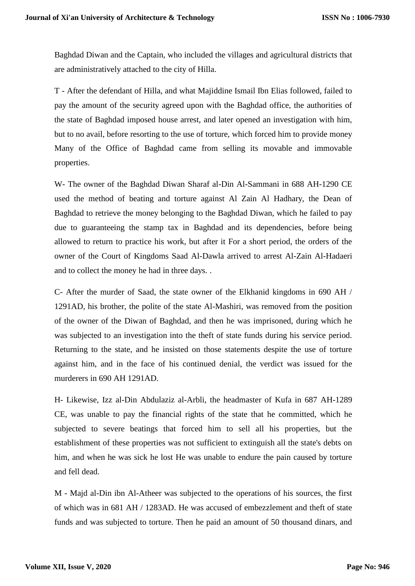Baghdad Diwan and the Captain, who included the villages and agricultural districts that are administratively attached to the city of Hilla.

T - After the defendant of Hilla, and what Majiddine Ismail Ibn Elias followed, failed to pay the amount of the security agreed upon with the Baghdad office, the authorities of the state of Baghdad imposed house arrest, and later opened an investigation with him, but to no avail, before resorting to the use of torture, which forced him to provide money Many of the Office of Baghdad came from selling its movable and immovable properties.

W- The owner of the Baghdad Diwan Sharaf al-Din Al-Sammani in 688 AH-1290 CE used the method of beating and torture against Al Zain Al Hadhary, the Dean of Baghdad to retrieve the money belonging to the Baghdad Diwan, which he failed to pay due to guaranteeing the stamp tax in Baghdad and its dependencies, before being allowed to return to practice his work, but after it For a short period, the orders of the owner of the Court of Kingdoms Saad Al-Dawla arrived to arrest Al-Zain Al-Hadaeri and to collect the money he had in three days. .

C- After the murder of Saad, the state owner of the Elkhanid kingdoms in 690 AH / 1291AD, his brother, the polite of the state Al-Mashiri, was removed from the position of the owner of the Diwan of Baghdad, and then he was imprisoned, during which he was subjected to an investigation into the theft of state funds during his service period. Returning to the state, and he insisted on those statements despite the use of torture against him, and in the face of his continued denial, the verdict was issued for the murderers in 690 AH 1291AD.

H- Likewise, Izz al-Din Abdulaziz al-Arbli, the headmaster of Kufa in 687 AH-1289 CE, was unable to pay the financial rights of the state that he committed, which he subjected to severe beatings that forced him to sell all his properties, but the establishment of these properties was not sufficient to extinguish all the state's debts on him, and when he was sick he lost He was unable to endure the pain caused by torture and fell dead.

M - Majd al-Din ibn Al-Atheer was subjected to the operations of his sources, the first of which was in 681 AH / 1283AD. He was accused of embezzlement and theft of state funds and was subjected to torture. Then he paid an amount of 50 thousand dinars, and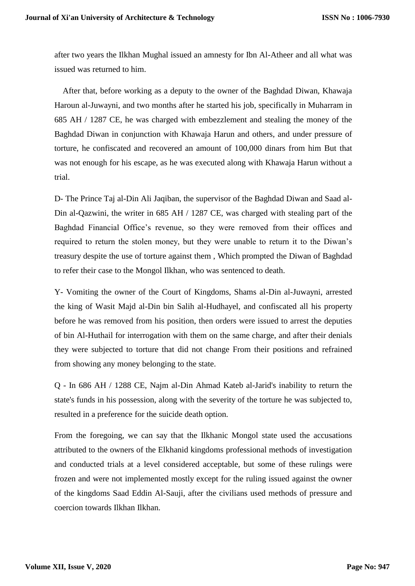after two years the Ilkhan Mughal issued an amnesty for Ibn Al-Atheer and all what was issued was returned to him.

 After that, before working as a deputy to the owner of the Baghdad Diwan, Khawaja Haroun al-Juwayni, and two months after he started his job, specifically in Muharram in 685 AH / 1287 CE, he was charged with embezzlement and stealing the money of the Baghdad Diwan in conjunction with Khawaja Harun and others, and under pressure of torture, he confiscated and recovered an amount of 100,000 dinars from him But that was not enough for his escape, as he was executed along with Khawaja Harun without a trial.

D- The Prince Taj al-Din Ali Jaqiban, the supervisor of the Baghdad Diwan and Saad al-Din al-Qazwini, the writer in 685 AH / 1287 CE, was charged with stealing part of the Baghdad Financial Office's revenue, so they were removed from their offices and required to return the stolen money, but they were unable to return it to the Diwan's treasury despite the use of torture against them , Which prompted the Diwan of Baghdad to refer their case to the Mongol Ilkhan, who was sentenced to death.

Y- Vomiting the owner of the Court of Kingdoms, Shams al-Din al-Juwayni, arrested the king of Wasit Majd al-Din bin Salih al-Hudhayel, and confiscated all his property before he was removed from his position, then orders were issued to arrest the deputies of bin Al-Huthail for interrogation with them on the same charge, and after their denials they were subjected to torture that did not change From their positions and refrained from showing any money belonging to the state.

Q - In 686 AH / 1288 CE, Najm al-Din Ahmad Kateb al-Jarid's inability to return the state's funds in his possession, along with the severity of the torture he was subjected to, resulted in a preference for the suicide death option.

From the foregoing, we can say that the Ilkhanic Mongol state used the accusations attributed to the owners of the Elkhanid kingdoms professional methods of investigation and conducted trials at a level considered acceptable, but some of these rulings were frozen and were not implemented mostly except for the ruling issued against the owner of the kingdoms Saad Eddin Al-Sauji, after the civilians used methods of pressure and coercion towards Ilkhan Ilkhan.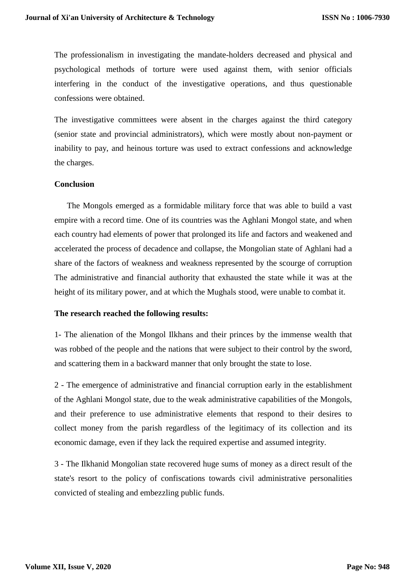The professionalism in investigating the mandate-holders decreased and physical and psychological methods of torture were used against them, with senior officials interfering in the conduct of the investigative operations, and thus questionable confessions were obtained.

The investigative committees were absent in the charges against the third category (senior state and provincial administrators), which were mostly about non-payment or inability to pay, and heinous torture was used to extract confessions and acknowledge the charges.

#### **Conclusion**

 The Mongols emerged as a formidable military force that was able to build a vast empire with a record time. One of its countries was the Aghlani Mongol state, and when each country had elements of power that prolonged its life and factors and weakened and accelerated the process of decadence and collapse, the Mongolian state of Aghlani had a share of the factors of weakness and weakness represented by the scourge of corruption The administrative and financial authority that exhausted the state while it was at the height of its military power, and at which the Mughals stood, were unable to combat it.

#### **The research reached the following results:**

1- The alienation of the Mongol Ilkhans and their princes by the immense wealth that was robbed of the people and the nations that were subject to their control by the sword, and scattering them in a backward manner that only brought the state to lose.

2 - The emergence of administrative and financial corruption early in the establishment of the Aghlani Mongol state, due to the weak administrative capabilities of the Mongols, and their preference to use administrative elements that respond to their desires to collect money from the parish regardless of the legitimacy of its collection and its economic damage, even if they lack the required expertise and assumed integrity.

3 - The Ilkhanid Mongolian state recovered huge sums of money as a direct result of the state's resort to the policy of confiscations towards civil administrative personalities convicted of stealing and embezzling public funds.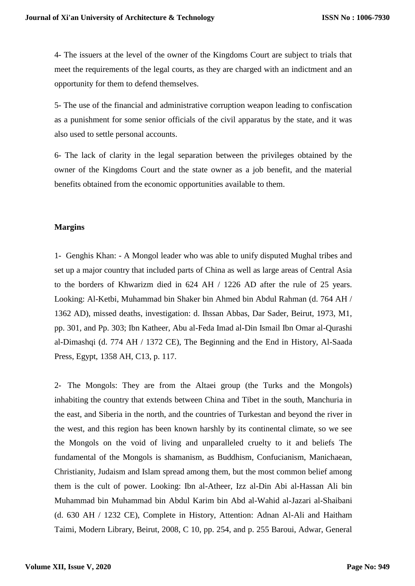4- The issuers at the level of the owner of the Kingdoms Court are subject to trials that meet the requirements of the legal courts, as they are charged with an indictment and an opportunity for them to defend themselves.

5- The use of the financial and administrative corruption weapon leading to confiscation as a punishment for some senior officials of the civil apparatus by the state, and it was also used to settle personal accounts.

6- The lack of clarity in the legal separation between the privileges obtained by the owner of the Kingdoms Court and the state owner as a job benefit, and the material benefits obtained from the economic opportunities available to them.

#### **Margins**

1- Genghis Khan: - A Mongol leader who was able to unify disputed Mughal tribes and set up a major country that included parts of China as well as large areas of Central Asia to the borders of Khwarizm died in 624 AH / 1226 AD after the rule of 25 years. Looking: Al-Ketbi, Muhammad bin Shaker bin Ahmed bin Abdul Rahman (d. 764 AH / 1362 AD), missed deaths, investigation: d. Ihssan Abbas, Dar Sader, Beirut, 1973, M1, pp. 301, and Pp. 303; Ibn Katheer, Abu al-Feda Imad al-Din Ismail Ibn Omar al-Qurashi al-Dimashqi (d. 774 AH / 1372 CE), The Beginning and the End in History, Al-Saada Press, Egypt, 1358 AH, C13, p. 117.

2- The Mongols: They are from the Altaei group (the Turks and the Mongols) inhabiting the country that extends between China and Tibet in the south, Manchuria in the east, and Siberia in the north, and the countries of Turkestan and beyond the river in the west, and this region has been known harshly by its continental climate, so we see the Mongols on the void of living and unparalleled cruelty to it and beliefs The fundamental of the Mongols is shamanism, as Buddhism, Confucianism, Manichaean, Christianity, Judaism and Islam spread among them, but the most common belief among them is the cult of power. Looking: Ibn al-Atheer, Izz al-Din Abi al-Hassan Ali bin Muhammad bin Muhammad bin Abdul Karim bin Abd al-Wahid al-Jazari al-Shaibani (d. 630 AH / 1232 CE), Complete in History, Attention: Adnan Al-Ali and Haitham Taimi, Modern Library, Beirut, 2008, C 10, pp. 254, and p. 255 Baroui, Adwar, General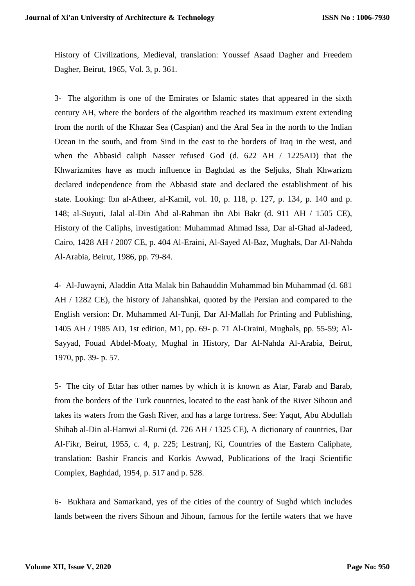History of Civilizations, Medieval, translation: Youssef Asaad Dagher and Freedem Dagher, Beirut, 1965, Vol. 3, p. 361.

3- The algorithm is one of the Emirates or Islamic states that appeared in the sixth century AH, where the borders of the algorithm reached its maximum extent extending from the north of the Khazar Sea (Caspian) and the Aral Sea in the north to the Indian Ocean in the south, and from Sind in the east to the borders of Iraq in the west, and when the Abbasid caliph Nasser refused God (d. 622 AH / 1225AD) that the Khwarizmites have as much influence in Baghdad as the Seljuks, Shah Khwarizm declared independence from the Abbasid state and declared the establishment of his state. Looking: Ibn al-Atheer, al-Kamil, vol. 10, p. 118, p. 127, p. 134, p. 140 and p. 148; al-Suyuti, Jalal al-Din Abd al-Rahman ibn Abi Bakr (d. 911 AH / 1505 CE), History of the Caliphs, investigation: Muhammad Ahmad Issa, Dar al-Ghad al-Jadeed, Cairo, 1428 AH / 2007 CE, p. 404 Al-Eraini, Al-Sayed Al-Baz, Mughals, Dar Al-Nahda Al-Arabia, Beirut, 1986, pp. 79-84.

4- Al-Juwayni, Aladdin Atta Malak bin Bahauddin Muhammad bin Muhammad (d. 681 AH / 1282 CE), the history of Jahanshkai, quoted by the Persian and compared to the English version: Dr. Muhammed Al-Tunji, Dar Al-Mallah for Printing and Publishing, 1405 AH / 1985 AD, 1st edition, M1, pp. 69- p. 71 Al-Oraini, Mughals, pp. 55-59; Al-Sayyad, Fouad Abdel-Moaty, Mughal in History, Dar Al-Nahda Al-Arabia, Beirut, 1970, pp. 39- p. 57.

5- The city of Ettar has other names by which it is known as Atar, Farab and Barab, from the borders of the Turk countries, located to the east bank of the River Sihoun and takes its waters from the Gash River, and has a large fortress. See: Yaqut, Abu Abdullah Shihab al-Din al-Hamwi al-Rumi (d. 726 AH / 1325 CE), A dictionary of countries, Dar Al-Fikr, Beirut, 1955, c. 4, p. 225; Lestranj, Ki, Countries of the Eastern Caliphate, translation: Bashir Francis and Korkis Awwad, Publications of the Iraqi Scientific Complex, Baghdad, 1954, p. 517 and p. 528.

6- Bukhara and Samarkand, yes of the cities of the country of Sughd which includes lands between the rivers Sihoun and Jihoun, famous for the fertile waters that we have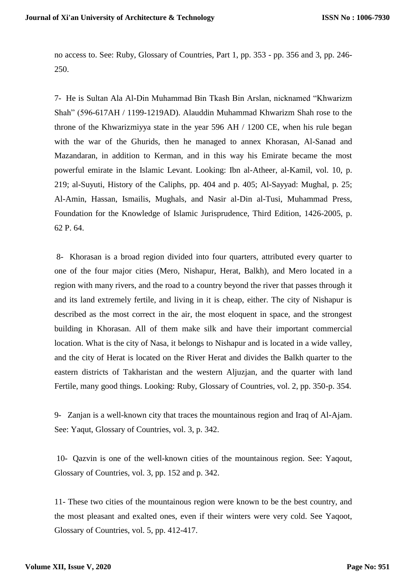no access to. See: Ruby, Glossary of Countries, Part 1, pp. 353 - pp. 356 and 3, pp. 246- 250.

7- He is Sultan Ala Al-Din Muhammad Bin Tkash Bin Arslan, nicknamed "Khwarizm Shah" (596-617AH / 1199-1219AD). Alauddin Muhammad Khwarizm Shah rose to the throne of the Khwarizmiyya state in the year 596 AH / 1200 CE, when his rule began with the war of the Ghurids, then he managed to annex Khorasan, Al-Sanad and Mazandaran, in addition to Kerman, and in this way his Emirate became the most powerful emirate in the Islamic Levant. Looking: Ibn al-Atheer, al-Kamil, vol. 10, p. 219; al-Suyuti, History of the Caliphs, pp. 404 and p. 405; Al-Sayyad: Mughal, p. 25; Al-Amin, Hassan, Ismailis, Mughals, and Nasir al-Din al-Tusi, Muhammad Press, Foundation for the Knowledge of Islamic Jurisprudence, Third Edition, 1426-2005, p. 62 P. 64.

8- Khorasan is a broad region divided into four quarters, attributed every quarter to one of the four major cities (Mero, Nishapur, Herat, Balkh), and Mero located in a region with many rivers, and the road to a country beyond the river that passes through it and its land extremely fertile, and living in it is cheap, either. The city of Nishapur is described as the most correct in the air, the most eloquent in space, and the strongest building in Khorasan. All of them make silk and have their important commercial location. What is the city of Nasa, it belongs to Nishapur and is located in a wide valley, and the city of Herat is located on the River Herat and divides the Balkh quarter to the eastern districts of Takharistan and the western Aljuzjan, and the quarter with land Fertile, many good things. Looking: Ruby, Glossary of Countries, vol. 2, pp. 350-p. 354.

9- Zanjan is a well-known city that traces the mountainous region and Iraq of Al-Ajam. See: Yaqut, Glossary of Countries, vol. 3, p. 342.

10- Qazvin is one of the well-known cities of the mountainous region. See: Yaqout, Glossary of Countries, vol. 3, pp. 152 and p. 342.

11- These two cities of the mountainous region were known to be the best country, and the most pleasant and exalted ones, even if their winters were very cold. See Yaqoot, Glossary of Countries, vol. 5, pp. 412-417.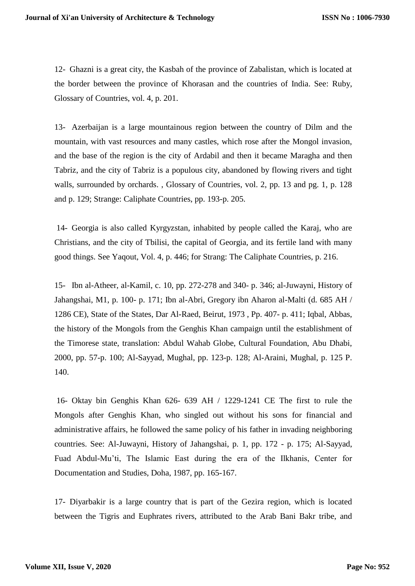12- Ghazni is a great city, the Kasbah of the province of Zabalistan, which is located at the border between the province of Khorasan and the countries of India. See: Ruby, Glossary of Countries, vol. 4, p. 201.

13- Azerbaijan is a large mountainous region between the country of Dilm and the mountain, with vast resources and many castles, which rose after the Mongol invasion, and the base of the region is the city of Ardabil and then it became Maragha and then Tabriz, and the city of Tabriz is a populous city, abandoned by flowing rivers and tight walls, surrounded by orchards. , Glossary of Countries, vol. 2, pp. 13 and pg. 1, p. 128 and p. 129; Strange: Caliphate Countries, pp. 193-p. 205.

14- Georgia is also called Kyrgyzstan, inhabited by people called the Karaj, who are Christians, and the city of Tbilisi, the capital of Georgia, and its fertile land with many good things. See Yaqout, Vol. 4, p. 446; for Strang: The Caliphate Countries, p. 216.

15- Ibn al-Atheer, al-Kamil, c. 10, pp. 272-278 and 340- p. 346; al-Juwayni, History of Jahangshai, M1, p. 100- p. 171; Ibn al-Abri, Gregory ibn Aharon al-Malti (d. 685 AH / 1286 CE), State of the States, Dar Al-Raed, Beirut, 1973 , Pp. 407- p. 411; Iqbal, Abbas, the history of the Mongols from the Genghis Khan campaign until the establishment of the Timorese state, translation: Abdul Wahab Globe, Cultural Foundation, Abu Dhabi, 2000, pp. 57-p. 100; Al-Sayyad, Mughal, pp. 123-p. 128; Al-Araini, Mughal, p. 125 P. 140.

16- Oktay bin Genghis Khan 626- 639 AH / 1229-1241 CE The first to rule the Mongols after Genghis Khan, who singled out without his sons for financial and administrative affairs, he followed the same policy of his father in invading neighboring countries. See: Al-Juwayni, History of Jahangshai, p. 1, pp. 172 - p. 175; Al-Sayyad, Fuad Abdul-Mu'ti, The Islamic East during the era of the Ilkhanis, Center for Documentation and Studies, Doha, 1987, pp. 165-167.

17- Diyarbakir is a large country that is part of the Gezira region, which is located between the Tigris and Euphrates rivers, attributed to the Arab Bani Bakr tribe, and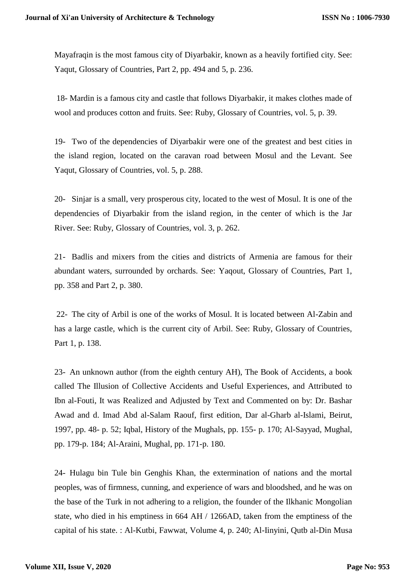Mayafraqin is the most famous city of Diyarbakir, known as a heavily fortified city. See: Yaqut, Glossary of Countries, Part 2, pp. 494 and 5, p. 236.

18- Mardin is a famous city and castle that follows Diyarbakir, it makes clothes made of wool and produces cotton and fruits. See: Ruby, Glossary of Countries, vol. 5, p. 39.

19- Two of the dependencies of Diyarbakir were one of the greatest and best cities in the island region, located on the caravan road between Mosul and the Levant. See Yaqut, Glossary of Countries, vol. 5, p. 288.

20- Sinjar is a small, very prosperous city, located to the west of Mosul. It is one of the dependencies of Diyarbakir from the island region, in the center of which is the Jar River. See: Ruby, Glossary of Countries, vol. 3, p. 262.

21- Badlis and mixers from the cities and districts of Armenia are famous for their abundant waters, surrounded by orchards. See: Yaqout, Glossary of Countries, Part 1, pp. 358 and Part 2, p. 380.

22- The city of Arbil is one of the works of Mosul. It is located between Al-Zabin and has a large castle, which is the current city of Arbil. See: Ruby, Glossary of Countries, Part 1, p. 138.

23- An unknown author (from the eighth century AH), The Book of Accidents, a book called The Illusion of Collective Accidents and Useful Experiences, and Attributed to Ibn al-Fouti, It was Realized and Adjusted by Text and Commented on by: Dr. Bashar Awad and d. Imad Abd al-Salam Raouf, first edition, Dar al-Gharb al-Islami, Beirut, 1997, pp. 48- p. 52; Iqbal, History of the Mughals, pp. 155- p. 170; Al-Sayyad, Mughal, pp. 179-p. 184; Al-Araini, Mughal, pp. 171-p. 180.

24- Hulagu bin Tule bin Genghis Khan, the extermination of nations and the mortal peoples, was of firmness, cunning, and experience of wars and bloodshed, and he was on the base of the Turk in not adhering to a religion, the founder of the Ilkhanic Mongolian state, who died in his emptiness in 664 AH / 1266AD, taken from the emptiness of the capital of his state. : Al-Kutbi, Fawwat, Volume 4, p. 240; Al-Iinyini, Qutb al-Din Musa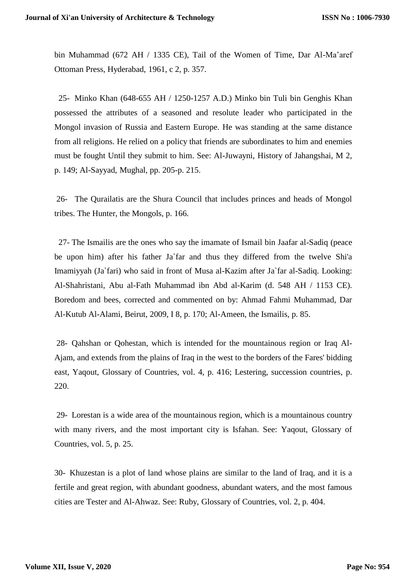bin Muhammad (672 AH / 1335 CE), Tail of the Women of Time, Dar Al-Ma'aref Ottoman Press, Hyderabad, 1961, c 2, p. 357.

 25- Minko Khan (648-655 AH / 1250-1257 A.D.) Minko bin Tuli bin Genghis Khan possessed the attributes of a seasoned and resolute leader who participated in the Mongol invasion of Russia and Eastern Europe. He was standing at the same distance from all religions. He relied on a policy that friends are subordinates to him and enemies must be fought Until they submit to him. See: Al-Juwayni, History of Jahangshai, M 2, p. 149; Al-Sayyad, Mughal, pp. 205-p. 215.

26- The Qurailatis are the Shura Council that includes princes and heads of Mongol tribes. The Hunter, the Mongols, p. 166.

 27- The Ismailis are the ones who say the imamate of Ismail bin Jaafar al-Sadiq (peace be upon him) after his father Ja`far and thus they differed from the twelve Shi'a Imamiyyah (Ja`fari) who said in front of Musa al-Kazim after Ja`far al-Sadiq. Looking: Al-Shahristani, Abu al-Fath Muhammad ibn Abd al-Karim (d. 548 AH / 1153 CE). Boredom and bees, corrected and commented on by: Ahmad Fahmi Muhammad, Dar Al-Kutub Al-Alami, Beirut, 2009, I 8, p. 170; Al-Ameen, the Ismailis, p. 85.

28- Qahshan or Qohestan, which is intended for the mountainous region or Iraq Al-Ajam, and extends from the plains of Iraq in the west to the borders of the Fares' bidding east, Yaqout, Glossary of Countries, vol. 4, p. 416; Lestering, succession countries, p. 220.

29- Lorestan is a wide area of the mountainous region, which is a mountainous country with many rivers, and the most important city is Isfahan. See: Yaqout, Glossary of Countries, vol. 5, p. 25.

30- Khuzestan is a plot of land whose plains are similar to the land of Iraq, and it is a fertile and great region, with abundant goodness, abundant waters, and the most famous cities are Tester and Al-Ahwaz. See: Ruby, Glossary of Countries, vol. 2, p. 404.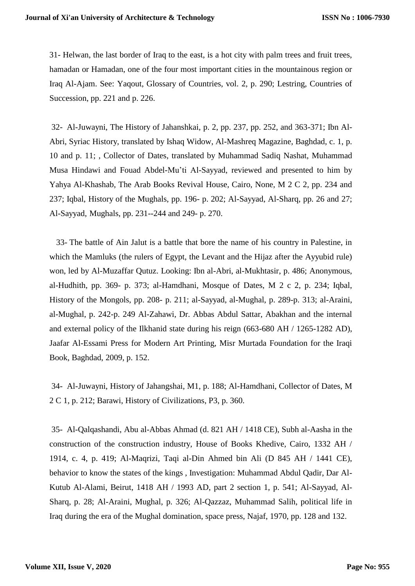31- Helwan, the last border of Iraq to the east, is a hot city with palm trees and fruit trees, hamadan or Hamadan, one of the four most important cities in the mountainous region or Iraq Al-Ajam. See: Yaqout, Glossary of Countries, vol. 2, p. 290; Lestring, Countries of Succession, pp. 221 and p. 226.

32- Al-Juwayni, The History of Jahanshkai, p. 2, pp. 237, pp. 252, and 363-371; Ibn Al-Abri, Syriac History, translated by Ishaq Widow, Al-Mashreq Magazine, Baghdad, c. 1, p. 10 and p. 11; , Collector of Dates, translated by Muhammad Sadiq Nashat, Muhammad Musa Hindawi and Fouad Abdel-Mu'ti Al-Sayyad, reviewed and presented to him by Yahya Al-Khashab, The Arab Books Revival House, Cairo, None, M 2 C 2, pp. 234 and 237; Iqbal, History of the Mughals, pp. 196- p. 202; Al-Sayyad, Al-Sharq, pp. 26 and 27; Al-Sayyad, Mughals, pp. 231--244 and 249- p. 270.

 33- The battle of Ain Jalut is a battle that bore the name of his country in Palestine, in which the Mamluks (the rulers of Egypt, the Levant and the Hijaz after the Ayyubid rule) won, led by Al-Muzaffar Qutuz. Looking: Ibn al-Abri, al-Mukhtasir, p. 486; Anonymous, al-Hudhith, pp. 369- p. 373; al-Hamdhani, Mosque of Dates, M 2 c 2, p. 234; Iqbal, History of the Mongols, pp. 208- p. 211; al-Sayyad, al-Mughal, p. 289-p. 313; al-Araini, al-Mughal, p. 242-p. 249 Al-Zahawi, Dr. Abbas Abdul Sattar, Abakhan and the internal and external policy of the Ilkhanid state during his reign (663-680 AH / 1265-1282 AD), Jaafar Al-Essami Press for Modern Art Printing, Misr Murtada Foundation for the Iraqi Book, Baghdad, 2009, p. 152.

34- Al-Juwayni, History of Jahangshai, M1, p. 188; Al-Hamdhani, Collector of Dates, M 2 C 1, p. 212; Barawi, History of Civilizations, P3, p. 360.

35- Al-Qalqashandi, Abu al-Abbas Ahmad (d. 821 AH / 1418 CE), Subh al-Aasha in the construction of the construction industry, House of Books Khedive, Cairo, 1332 AH / 1914, c. 4, p. 419; Al-Maqrizi, Taqi al-Din Ahmed bin Ali (D 845 AH / 1441 CE), behavior to know the states of the kings , Investigation: Muhammad Abdul Qadir, Dar Al-Kutub Al-Alami, Beirut, 1418 AH / 1993 AD, part 2 section 1, p. 541; Al-Sayyad, Al-Sharq, p. 28; Al-Araini, Mughal, p. 326; Al-Qazzaz, Muhammad Salih, political life in Iraq during the era of the Mughal domination, space press, Najaf, 1970, pp. 128 and 132.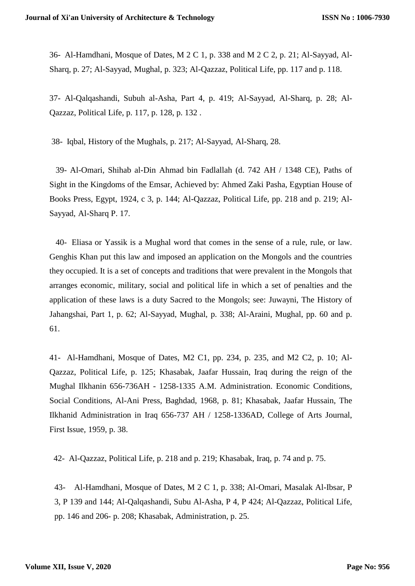36- Al-Hamdhani, Mosque of Dates, M 2 C 1, p. 338 and M 2 C 2, p. 21; Al-Sayyad, Al-Sharq, p. 27; Al-Sayyad, Mughal, p. 323; Al-Qazzaz, Political Life, pp. 117 and p. 118.

37- Al-Qalqashandi, Subuh al-Asha, Part 4, p. 419; Al-Sayyad, Al-Sharq, p. 28; Al-Qazzaz, Political Life, p. 117, p. 128, p. 132 .

38- Iqbal, History of the Mughals, p. 217; Al-Sayyad, Al-Sharq, 28.

 39- Al-Omari, Shihab al-Din Ahmad bin Fadlallah (d. 742 AH / 1348 CE), Paths of Sight in the Kingdoms of the Emsar, Achieved by: Ahmed Zaki Pasha, Egyptian House of Books Press, Egypt, 1924, c 3, p. 144; Al-Qazzaz, Political Life, pp. 218 and p. 219; Al-Sayyad, Al-Sharq P. 17.

 40- Eliasa or Yassik is a Mughal word that comes in the sense of a rule, rule, or law. Genghis Khan put this law and imposed an application on the Mongols and the countries they occupied. It is a set of concepts and traditions that were prevalent in the Mongols that arranges economic, military, social and political life in which a set of penalties and the application of these laws is a duty Sacred to the Mongols; see: Juwayni, The History of Jahangshai, Part 1, p. 62; Al-Sayyad, Mughal, p. 338; Al-Araini, Mughal, pp. 60 and p. 61.

41- Al-Hamdhani, Mosque of Dates, M2 C1, pp. 234, p. 235, and M2 C2, p. 10; Al-Qazzaz, Political Life, p. 125; Khasabak, Jaafar Hussain, Iraq during the reign of the Mughal Ilkhanin 656-736AH - 1258-1335 A.M. Administration. Economic Conditions, Social Conditions, Al-Ani Press, Baghdad, 1968, p. 81; Khasabak, Jaafar Hussain, The Ilkhanid Administration in Iraq 656-737 AH / 1258-1336AD, College of Arts Journal, First Issue, 1959, p. 38.

42- Al-Qazzaz, Political Life, p. 218 and p. 219; Khasabak, Iraq, p. 74 and p. 75.

43- Al-Hamdhani, Mosque of Dates, M 2 C 1, p. 338; Al-Omari, Masalak Al-Ibsar, P 3, P 139 and 144; Al-Qalqashandi, Subu Al-Asha, P 4, P 424; Al-Qazzaz, Political Life, pp. 146 and 206- p. 208; Khasabak, Administration, p. 25.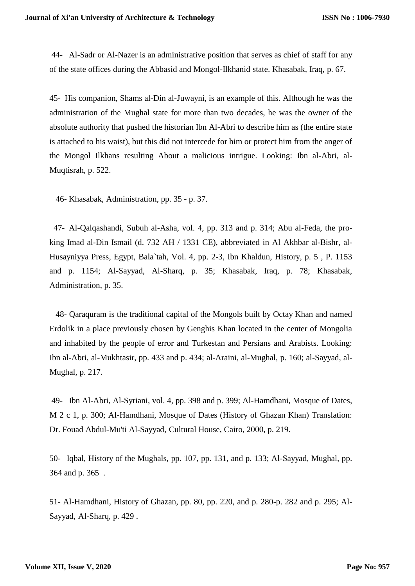44- Al-Sadr or Al-Nazer is an administrative position that serves as chief of staff for any of the state offices during the Abbasid and Mongol-Ilkhanid state. Khasabak, Iraq, p. 67.

45- His companion, Shams al-Din al-Juwayni, is an example of this. Although he was the administration of the Mughal state for more than two decades, he was the owner of the absolute authority that pushed the historian Ibn Al-Abri to describe him as (the entire state is attached to his waist), but this did not intercede for him or protect him from the anger of the Mongol Ilkhans resulting About a malicious intrigue. Looking: Ibn al-Abri, al-Muqtisrah, p. 522.

46- Khasabak, Administration, pp. 35 - p. 37.

 47- Al-Qalqashandi, Subuh al-Asha, vol. 4, pp. 313 and p. 314; Abu al-Feda, the proking Imad al-Din Ismail (d. 732 AH / 1331 CE), abbreviated in Al Akhbar al-Bishr, al-Husayniyya Press, Egypt, Bala`tah, Vol. 4, pp. 2-3, Ibn Khaldun, History, p. 5 , P. 1153 and p. 1154; Al-Sayyad, Al-Sharq, p. 35; Khasabak, Iraq, p. 78; Khasabak, Administration, p. 35.

 48- Qaraquram is the traditional capital of the Mongols built by Octay Khan and named Erdolik in a place previously chosen by Genghis Khan located in the center of Mongolia and inhabited by the people of error and Turkestan and Persians and Arabists. Looking: Ibn al-Abri, al-Mukhtasir, pp. 433 and p. 434; al-Araini, al-Mughal, p. 160; al-Sayyad, al-Mughal, p. 217.

49- Ibn Al-Abri, Al-Syriani, vol. 4, pp. 398 and p. 399; Al-Hamdhani, Mosque of Dates, M 2 c 1, p. 300; Al-Hamdhani, Mosque of Dates (History of Ghazan Khan) Translation: Dr. Fouad Abdul-Mu'ti Al-Sayyad, Cultural House, Cairo, 2000, p. 219.

50- Iqbal, History of the Mughals, pp. 107, pp. 131, and p. 133; Al-Sayyad, Mughal, pp. 364 and p. 365 .

51- Al-Hamdhani, History of Ghazan, pp. 80, pp. 220, and p. 280-p. 282 and p. 295; Al-Sayyad, Al-Sharq, p. 429 .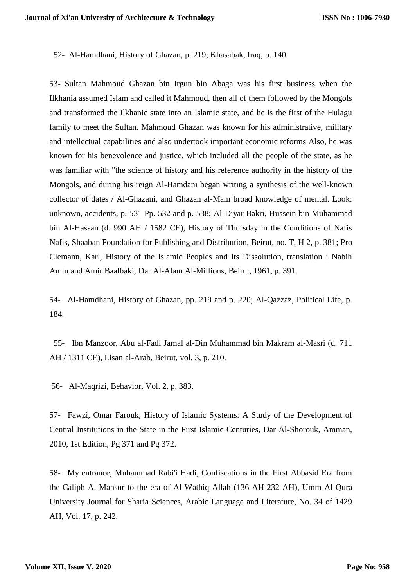52- Al-Hamdhani, History of Ghazan, p. 219; Khasabak, Iraq, p. 140.

53- Sultan Mahmoud Ghazan bin Irgun bin Abaga was his first business when the Ilkhania assumed Islam and called it Mahmoud, then all of them followed by the Mongols and transformed the Ilkhanic state into an Islamic state, and he is the first of the Hulagu family to meet the Sultan. Mahmoud Ghazan was known for his administrative, military and intellectual capabilities and also undertook important economic reforms Also, he was known for his benevolence and justice, which included all the people of the state, as he was familiar with "the science of history and his reference authority in the history of the Mongols, and during his reign Al-Hamdani began writing a synthesis of the well-known collector of dates / Al-Ghazani, and Ghazan al-Mam broad knowledge of mental. Look: unknown, accidents, p. 531 Pp. 532 and p. 538; Al-Diyar Bakri, Hussein bin Muhammad bin Al-Hassan (d. 990 AH / 1582 CE), History of Thursday in the Conditions of Nafis Nafis, Shaaban Foundation for Publishing and Distribution, Beirut, no. T, H 2, p. 381; Pro Clemann, Karl, History of the Islamic Peoples and Its Dissolution, translation : Nabih Amin and Amir Baalbaki, Dar Al-Alam Al-Millions, Beirut, 1961, p. 391.

54- Al-Hamdhani, History of Ghazan, pp. 219 and p. 220; Al-Qazzaz, Political Life, p. 184.

 55- Ibn Manzoor, Abu al-Fadl Jamal al-Din Muhammad bin Makram al-Masri (d. 711 AH / 1311 CE), Lisan al-Arab, Beirut, vol. 3, p. 210.

56- Al-Maqrizi, Behavior, Vol. 2, p. 383.

57- Fawzi, Omar Farouk, History of Islamic Systems: A Study of the Development of Central Institutions in the State in the First Islamic Centuries, Dar Al-Shorouk, Amman, 2010, 1st Edition, Pg 371 and Pg 372.

58- My entrance, Muhammad Rabi'i Hadi, Confiscations in the First Abbasid Era from the Caliph Al-Mansur to the era of Al-Wathiq Allah (136 AH-232 AH), Umm Al-Qura University Journal for Sharia Sciences, Arabic Language and Literature, No. 34 of 1429 AH, Vol. 17, p. 242.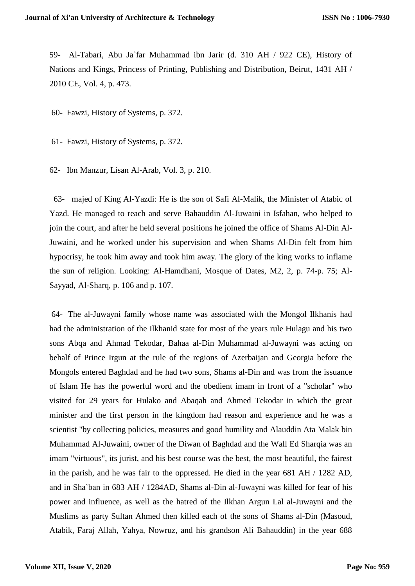59- Al-Tabari, Abu Ja`far Muhammad ibn Jarir (d. 310 AH / 922 CE), History of Nations and Kings, Princess of Printing, Publishing and Distribution, Beirut, 1431 AH / 2010 CE, Vol. 4, p. 473.

60- Fawzi, History of Systems, p. 372.

61- Fawzi, History of Systems, p. 372.

62- Ibn Manzur, Lisan Al-Arab, Vol. 3, p. 210.

 63- majed of King Al-Yazdi: He is the son of Safi Al-Malik, the Minister of Atabic of Yazd. He managed to reach and serve Bahauddin Al-Juwaini in Isfahan, who helped to join the court, and after he held several positions he joined the office of Shams Al-Din Al-Juwaini, and he worked under his supervision and when Shams Al-Din felt from him hypocrisy, he took him away and took him away. The glory of the king works to inflame the sun of religion. Looking: Al-Hamdhani, Mosque of Dates, M2, 2, p. 74-p. 75; Al-Sayyad, Al-Sharq, p. 106 and p. 107.

64- The al-Juwayni family whose name was associated with the Mongol Ilkhanis had had the administration of the Ilkhanid state for most of the years rule Hulagu and his two sons Abqa and Ahmad Tekodar, Bahaa al-Din Muhammad al-Juwayni was acting on behalf of Prince Irgun at the rule of the regions of Azerbaijan and Georgia before the Mongols entered Baghdad and he had two sons, Shams al-Din and was from the issuance of Islam He has the powerful word and the obedient imam in front of a "scholar" who visited for 29 years for Hulako and Abaqah and Ahmed Tekodar in which the great minister and the first person in the kingdom had reason and experience and he was a scientist "by collecting policies, measures and good humility and Alauddin Ata Malak bin Muhammad Al-Juwaini, owner of the Diwan of Baghdad and the Wall Ed Sharqia was an imam "virtuous", its jurist, and his best course was the best, the most beautiful, the fairest in the parish, and he was fair to the oppressed. He died in the year 681 AH / 1282 AD, and in Sha`ban in 683 AH / 1284AD, Shams al-Din al-Juwayni was killed for fear of his power and influence, as well as the hatred of the Ilkhan Argun Lal al-Juwayni and the Muslims as party Sultan Ahmed then killed each of the sons of Shams al-Din (Masoud, Atabik, Faraj Allah, Yahya, Nowruz, and his grandson Ali Bahauddin) in the year 688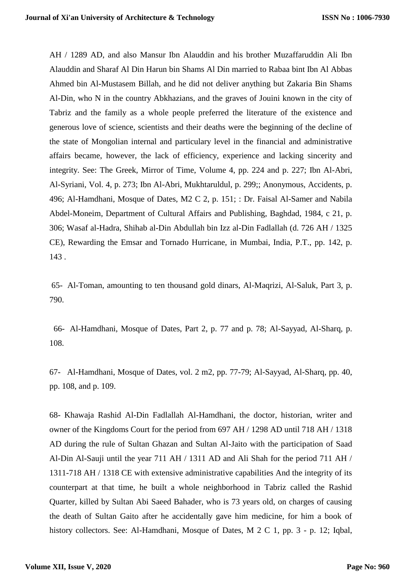AH / 1289 AD, and also Mansur Ibn Alauddin and his brother Muzaffaruddin Ali Ibn Alauddin and Sharaf Al Din Harun bin Shams Al Din married to Rabaa bint Ibn Al Abbas Ahmed bin Al-Mustasem Billah, and he did not deliver anything but Zakaria Bin Shams Al-Din, who N in the country Abkhazians, and the graves of Jouini known in the city of Tabriz and the family as a whole people preferred the literature of the existence and generous love of science, scientists and their deaths were the beginning of the decline of the state of Mongolian internal and particulary level in the financial and administrative affairs became, however, the lack of efficiency, experience and lacking sincerity and integrity. See: The Greek, Mirror of Time, Volume 4, pp. 224 and p. 227; Ibn Al-Abri, Al-Syriani, Vol. 4, p. 273; Ibn Al-Abri, Mukhtaruldul, p. 299;; Anonymous, Accidents, p. 496; Al-Hamdhani, Mosque of Dates, M2 C 2, p. 151; : Dr. Faisal Al-Samer and Nabila Abdel-Moneim, Department of Cultural Affairs and Publishing, Baghdad, 1984, c 21, p. 306; Wasaf al-Hadra, Shihab al-Din Abdullah bin Izz al-Din Fadlallah (d. 726 AH / 1325 CE), Rewarding the Emsar and Tornado Hurricane, in Mumbai, India, P.T., pp. 142, p. 143 .

65- Al-Toman, amounting to ten thousand gold dinars, Al-Maqrizi, Al-Saluk, Part 3, p. 790.

 66- Al-Hamdhani, Mosque of Dates, Part 2, p. 77 and p. 78; Al-Sayyad, Al-Sharq, p. 108.

67- Al-Hamdhani, Mosque of Dates, vol. 2 m2, pp. 77-79; Al-Sayyad, Al-Sharq, pp. 40, pp. 108, and p. 109.

68- Khawaja Rashid Al-Din Fadlallah Al-Hamdhani, the doctor, historian, writer and owner of the Kingdoms Court for the period from 697 AH / 1298 AD until 718 AH / 1318 AD during the rule of Sultan Ghazan and Sultan Al-Jaito with the participation of Saad Al-Din Al-Sauji until the year 711 AH / 1311 AD and Ali Shah for the period 711 AH / 1311-718 AH / 1318 CE with extensive administrative capabilities And the integrity of its counterpart at that time, he built a whole neighborhood in Tabriz called the Rashid Quarter, killed by Sultan Abi Saeed Bahader, who is 73 years old, on charges of causing the death of Sultan Gaito after he accidentally gave him medicine, for him a book of history collectors. See: Al-Hamdhani, Mosque of Dates, M 2 C 1, pp. 3 - p. 12; Iqbal,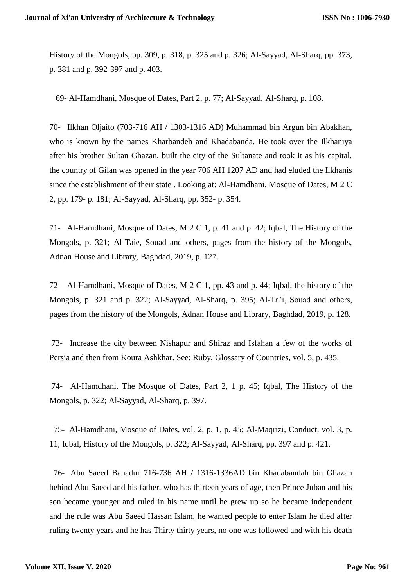History of the Mongols, pp. 309, p. 318, p. 325 and p. 326; Al-Sayyad, Al-Sharq, pp. 373, p. 381 and p. 392-397 and p. 403.

69- Al-Hamdhani, Mosque of Dates, Part 2, p. 77; Al-Sayyad, Al-Sharq, p. 108.

70- Ilkhan Oljaito (703-716 AH / 1303-1316 AD) Muhammad bin Argun bin Abakhan, who is known by the names Kharbandeh and Khadabanda. He took over the Ilkhaniya after his brother Sultan Ghazan, built the city of the Sultanate and took it as his capital, the country of Gilan was opened in the year 706 AH 1207 AD and had eluded the Ilkhanis since the establishment of their state . Looking at: Al-Hamdhani, Mosque of Dates, M 2 C 2, pp. 179- p. 181; Al-Sayyad, Al-Sharq, pp. 352- p. 354.

71- Al-Hamdhani, Mosque of Dates, M 2 C 1, p. 41 and p. 42; Iqbal, The History of the Mongols, p. 321; Al-Taie, Souad and others, pages from the history of the Mongols, Adnan House and Library, Baghdad, 2019, p. 127.

72- Al-Hamdhani, Mosque of Dates, M 2 C 1, pp. 43 and p. 44; Iqbal, the history of the Mongols, p. 321 and p. 322; Al-Sayyad, Al-Sharq, p. 395; Al-Ta'i, Souad and others, pages from the history of the Mongols, Adnan House and Library, Baghdad, 2019, p. 128.

73- Increase the city between Nishapur and Shiraz and Isfahan a few of the works of Persia and then from Koura Ashkhar. See: Ruby, Glossary of Countries, vol. 5, p. 435.

74- Al-Hamdhani, The Mosque of Dates, Part 2, 1 p. 45; Iqbal, The History of the Mongols, p. 322; Al-Sayyad, Al-Sharq, p. 397.

 75- Al-Hamdhani, Mosque of Dates, vol. 2, p. 1, p. 45; Al-Maqrizi, Conduct, vol. 3, p. 11; Iqbal, History of the Mongols, p. 322; Al-Sayyad, Al-Sharq, pp. 397 and p. 421.

 76- Abu Saeed Bahadur 716-736 AH / 1316-1336AD bin Khadabandah bin Ghazan behind Abu Saeed and his father, who has thirteen years of age, then Prince Juban and his son became younger and ruled in his name until he grew up so he became independent and the rule was Abu Saeed Hassan Islam, he wanted people to enter Islam he died after ruling twenty years and he has Thirty thirty years, no one was followed and with his death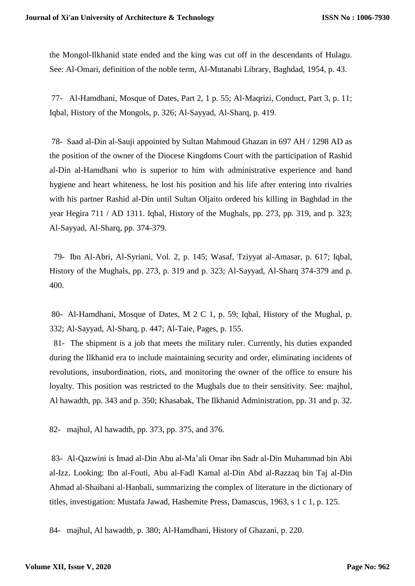the Mongol-Ilkhanid state ended and the king was cut off in the descendants of Hulagu. See: Al-Omari, definition of the noble term, Al-Mutanabi Library, Baghdad, 1954, p. 43.

77- Al-Hamdhani, Mosque of Dates, Part 2, 1 p. 55; Al-Maqrizi, Conduct, Part 3, p. 11; Iqbal, History of the Mongols, p. 326; Al-Sayyad, Al-Sharq, p. 419.

78- Saad al-Din al-Sauji appointed by Sultan Mahmoud Ghazan in 697 AH / 1298 AD as the position of the owner of the Diocese Kingdoms Court with the participation of Rashid al-Din al-Hamdhani who is superior to him with administrative experience and hand hygiene and heart whiteness, he lost his position and his life after entering into rivalries with his partner Rashid al-Din until Sultan Oljaito ordered his killing in Baghdad in the year Hegira 711 / AD 1311. Iqbal, History of the Mughals, pp. 273, pp. 319, and p. 323; Al-Sayyad, Al-Sharq, pp. 374-379.

 79- Ibn Al-Abri, Al-Syriani, Vol. 2, p. 145; Wasaf, Tziyyat al-Amasar, p. 617; Iqbal, History of the Mughals, pp. 273, p. 319 and p. 323; Al-Sayyad, Al-Sharq 374-379 and p. 400.

80- Al-Hamdhani, Mosque of Dates, M 2 C 1, p. 59; Iqbal, History of the Mughal, p. 332; Al-Sayyad, Al-Sharq, p. 447; Al-Taie, Pages, p. 155.

 81- The shipment is a job that meets the military ruler. Currently, his duties expanded during the Ilkhanid era to include maintaining security and order, eliminating incidents of revolutions, insubordination, riots, and monitoring the owner of the office to ensure his loyalty. This position was restricted to the Mughals due to their sensitivity. See: majhul, Al hawadth, pp. 343 and p. 350; Khasabak, The Ilkhanid Administration, pp. 31 and p. 32.

82- majhul, Al hawadth, pp. 373, pp. 375, and 376.

83- Al-Qazwini is Imad al-Din Abu al-Ma'ali Omar ibn Sadr al-Din Muhammad bin Abi al-Izz. Looking: Ibn al-Fouti, Abu al-Fadl Kamal al-Din Abd al-Razzaq bin Taj al-Din Ahmad al-Shaibani al-Hanbali, summarizing the complex of literature in the dictionary of titles, investigation: Mustafa Jawad, Hashemite Press, Damascus, 1963, s 1 c 1, p. 125.

84- majhul, Al hawadth, p. 380; Al-Hamdhani, History of Ghazani, p. 220.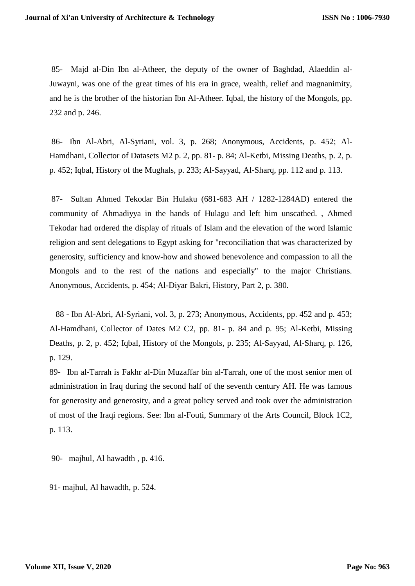85- Majd al-Din Ibn al-Atheer, the deputy of the owner of Baghdad, Alaeddin al-Juwayni, was one of the great times of his era in grace, wealth, relief and magnanimity, and he is the brother of the historian Ibn Al-Atheer. Iqbal, the history of the Mongols, pp. 232 and p. 246.

86- Ibn Al-Abri, Al-Syriani, vol. 3, p. 268; Anonymous, Accidents, p. 452; Al-Hamdhani, Collector of Datasets M2 p. 2, pp. 81- p. 84; Al-Ketbi, Missing Deaths, p. 2, p. p. 452; Iqbal, History of the Mughals, p. 233; Al-Sayyad, Al-Sharq, pp. 112 and p. 113.

87- Sultan Ahmed Tekodar Bin Hulaku (681-683 AH / 1282-1284AD) entered the community of Ahmadiyya in the hands of Hulagu and left him unscathed. , Ahmed Tekodar had ordered the display of rituals of Islam and the elevation of the word Islamic religion and sent delegations to Egypt asking for "reconciliation that was characterized by generosity, sufficiency and know-how and showed benevolence and compassion to all the Mongols and to the rest of the nations and especially" to the major Christians. Anonymous, Accidents, p. 454; Al-Diyar Bakri, History, Part 2, p. 380.

 88 - Ibn Al-Abri, Al-Syriani, vol. 3, p. 273; Anonymous, Accidents, pp. 452 and p. 453; Al-Hamdhani, Collector of Dates M2 C2, pp. 81- p. 84 and p. 95; Al-Ketbi, Missing Deaths, p. 2, p. 452; Iqbal, History of the Mongols, p. 235; Al-Sayyad, Al-Sharq, p. 126, p. 129.

89- Ibn al-Tarrah is Fakhr al-Din Muzaffar bin al-Tarrah, one of the most senior men of administration in Iraq during the second half of the seventh century AH. He was famous for generosity and generosity, and a great policy served and took over the administration of most of the Iraqi regions. See: Ibn al-Fouti, Summary of the Arts Council, Block 1C2, p. 113.

90- majhul, Al hawadth , p. 416.

91- majhul, Al hawadth, p. 524.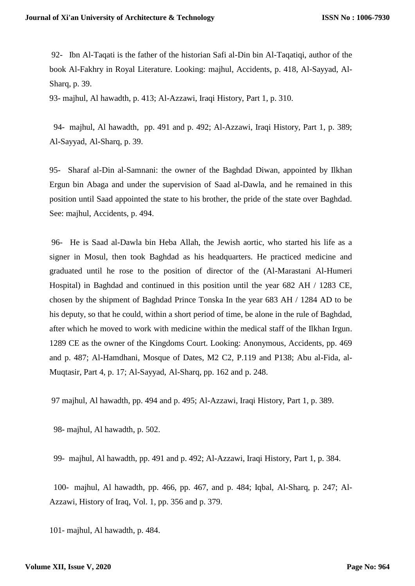92- Ibn Al-Taqati is the father of the historian Safi al-Din bin Al-Taqatiqi, author of the book Al-Fakhry in Royal Literature. Looking: majhul, Accidents, p. 418, Al-Sayyad, Al-Sharq, p. 39.

93- majhul, Al hawadth, p. 413; Al-Azzawi, Iraqi History, Part 1, p. 310.

 94- majhul, Al hawadth, pp. 491 and p. 492; Al-Azzawi, Iraqi History, Part 1, p. 389; Al-Sayyad, Al-Sharq, p. 39.

95- Sharaf al-Din al-Samnani: the owner of the Baghdad Diwan, appointed by Ilkhan Ergun bin Abaga and under the supervision of Saad al-Dawla, and he remained in this position until Saad appointed the state to his brother, the pride of the state over Baghdad. See: majhul, Accidents, p. 494.

96- He is Saad al-Dawla bin Heba Allah, the Jewish aortic, who started his life as a signer in Mosul, then took Baghdad as his headquarters. He practiced medicine and graduated until he rose to the position of director of the (Al-Marastani Al-Humeri Hospital) in Baghdad and continued in this position until the year 682 AH / 1283 CE, chosen by the shipment of Baghdad Prince Tonska In the year 683 AH / 1284 AD to be his deputy, so that he could, within a short period of time, be alone in the rule of Baghdad, after which he moved to work with medicine within the medical staff of the Ilkhan Irgun. 1289 CE as the owner of the Kingdoms Court. Looking: Anonymous, Accidents, pp. 469 and p. 487; Al-Hamdhani, Mosque of Dates, M2 C2, P.119 and P138; Abu al-Fida, al-Muqtasir, Part 4, p. 17; Al-Sayyad, Al-Sharq, pp. 162 and p. 248.

97 majhul, Al hawadth, pp. 494 and p. 495; Al-Azzawi, Iraqi History, Part 1, p. 389.

98- majhul, Al hawadth, p. 502.

99- majhul, Al hawadth, pp. 491 and p. 492; Al-Azzawi, Iraqi History, Part 1, p. 384.

 100- majhul, Al hawadth, pp. 466, pp. 467, and p. 484; Iqbal, Al-Sharq, p. 247; Al-Azzawi, History of Iraq, Vol. 1, pp. 356 and p. 379.

101- majhul, Al hawadth, p. 484.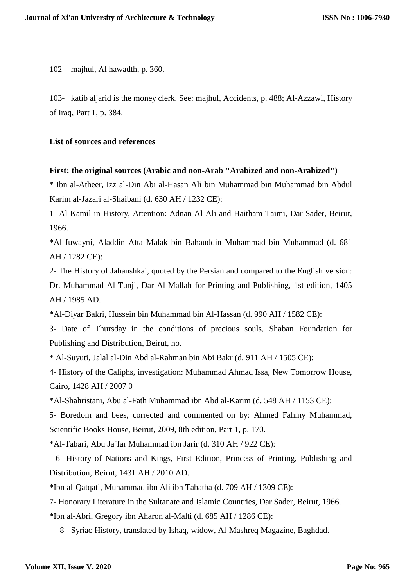102- majhul, Al hawadth, p. 360.

103- katib aljarid is the money clerk. See: majhul, Accidents, p. 488; Al-Azzawi, History of Iraq, Part 1, p. 384.

#### **List of sources and references**

#### **First: the original sources (Arabic and non-Arab "Arabized and non-Arabized")**

\* Ibn al-Atheer, Izz al-Din Abi al-Hasan Ali bin Muhammad bin Muhammad bin Abdul Karim al-Jazari al-Shaibani (d. 630 AH / 1232 CE):

1- Al Kamil in History, Attention: Adnan Al-Ali and Haitham Taimi, Dar Sader, Beirut, 1966.

\*Al-Juwayni, Aladdin Atta Malak bin Bahauddin Muhammad bin Muhammad (d. 681 AH / 1282 CE):

2- The History of Jahanshkai, quoted by the Persian and compared to the English version: Dr. Muhammad Al-Tunji, Dar Al-Mallah for Printing and Publishing, 1st edition, 1405 AH / 1985 AD.

\*Al-Diyar Bakri, Hussein bin Muhammad bin Al-Hassan (d. 990 AH / 1582 CE):

3- Date of Thursday in the conditions of precious souls, Shaban Foundation for Publishing and Distribution, Beirut, no.

\* Al-Suyuti, Jalal al-Din Abd al-Rahman bin Abi Bakr (d. 911 AH / 1505 CE):

4- History of the Caliphs, investigation: Muhammad Ahmad Issa, New Tomorrow House, Cairo, 1428 AH / 2007 0

\*Al-Shahristani, Abu al-Fath Muhammad ibn Abd al-Karim (d. 548 AH / 1153 CE):

5- Boredom and bees, corrected and commented on by: Ahmed Fahmy Muhammad, Scientific Books House, Beirut, 2009, 8th edition, Part 1, p. 170.

\*Al-Tabari, Abu Ja`far Muhammad ibn Jarir (d. 310 AH / 922 CE):

 6- History of Nations and Kings, First Edition, Princess of Printing, Publishing and Distribution, Beirut, 1431 AH / 2010 AD.

\*Ibn al-Qatqati, Muhammad ibn Ali ibn Tabatba (d. 709 AH / 1309 CE):

7- Honorary Literature in the Sultanate and Islamic Countries, Dar Sader, Beirut, 1966.

\*Ibn al-Abri, Gregory ibn Aharon al-Malti (d. 685 AH / 1286 CE):

8 - Syriac History, translated by Ishaq, widow, Al-Mashreq Magazine, Baghdad.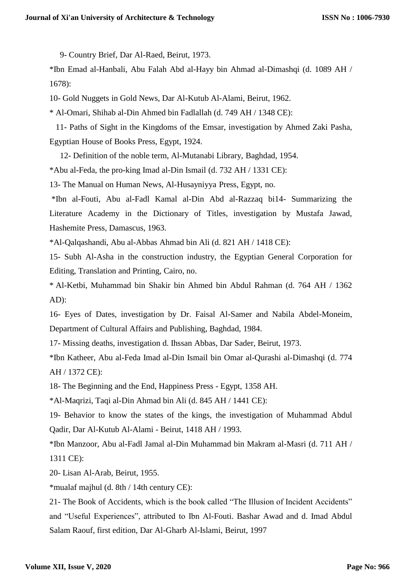9- Country Brief, Dar Al-Raed, Beirut, 1973.

\*Ibn Emad al-Hanbali, Abu Falah Abd al-Hayy bin Ahmad al-Dimashqi (d. 1089 AH / 1678):

10- Gold Nuggets in Gold News, Dar Al-Kutub Al-Alami, Beirut, 1962.

\* Al-Omari, Shihab al-Din Ahmed bin Fadlallah (d. 749 AH / 1348 CE):

 11- Paths of Sight in the Kingdoms of the Emsar, investigation by Ahmed Zaki Pasha, Egyptian House of Books Press, Egypt, 1924.

12- Definition of the noble term, Al-Mutanabi Library, Baghdad, 1954.

\*Abu al-Feda, the pro-king Imad al-Din Ismail (d. 732 AH / 1331 CE):

13- The Manual on Human News, Al-Husayniyya Press, Egypt, no.

\*Ibn al-Fouti, Abu al-Fadl Kamal al-Din Abd al-Razzaq bi14- Summarizing the Literature Academy in the Dictionary of Titles, investigation by Mustafa Jawad, Hashemite Press, Damascus, 1963.

\*Al-Qalqashandi, Abu al-Abbas Ahmad bin Ali (d. 821 AH / 1418 CE):

15- Subh Al-Asha in the construction industry, the Egyptian General Corporation for Editing, Translation and Printing, Cairo, no.

\* Al-Ketbi, Muhammad bin Shakir bin Ahmed bin Abdul Rahman (d. 764 AH / 1362 AD):

16- Eyes of Dates, investigation by Dr. Faisal Al-Samer and Nabila Abdel-Moneim, Department of Cultural Affairs and Publishing, Baghdad, 1984.

17- Missing deaths, investigation d. Ihssan Abbas, Dar Sader, Beirut, 1973.

\*Ibn Katheer, Abu al-Feda Imad al-Din Ismail bin Omar al-Qurashi al-Dimashqi (d. 774 AH / 1372 CE):

18- The Beginning and the End, Happiness Press - Egypt, 1358 AH.

\*Al-Maqrizi, Taqi al-Din Ahmad bin Ali (d. 845 AH / 1441 CE):

19- Behavior to know the states of the kings, the investigation of Muhammad Abdul Qadir, Dar Al-Kutub Al-Alami - Beirut, 1418 AH / 1993.

\*Ibn Manzoor, Abu al-Fadl Jamal al-Din Muhammad bin Makram al-Masri (d. 711 AH / 1311 CE):

20- Lisan Al-Arab, Beirut, 1955.

\*mualaf majhul (d. 8th / 14th century CE):

21- The Book of Accidents, which is the book called "The Illusion of Incident Accidents" and "Useful Experiences", attributed to Ibn Al-Fouti. Bashar Awad and d. Imad Abdul Salam Raouf, first edition, Dar Al-Gharb Al-Islami, Beirut, 1997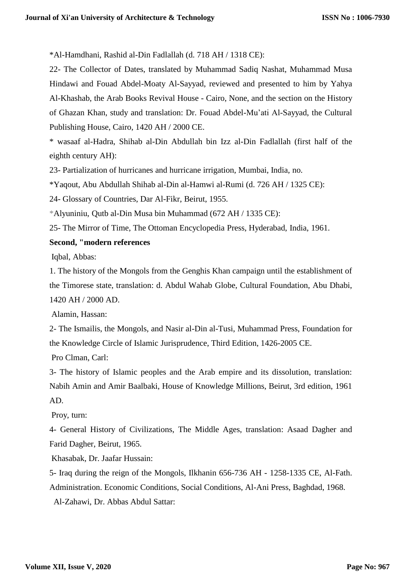\*Al-Hamdhani, Rashid al-Din Fadlallah (d. 718 AH / 1318 CE):

22- The Collector of Dates, translated by Muhammad Sadiq Nashat, Muhammad Musa Hindawi and Fouad Abdel-Moaty Al-Sayyad, reviewed and presented to him by Yahya Al-Khashab, the Arab Books Revival House - Cairo, None, and the section on the History of Ghazan Khan, study and translation: Dr. Fouad Abdel-Mu'ati Al-Sayyad, the Cultural Publishing House, Cairo, 1420 AH / 2000 CE.

\* wasaaf al-Hadra, Shihab al-Din Abdullah bin Izz al-Din Fadlallah (first half of the eighth century AH):

23- Partialization of hurricanes and hurricane irrigation, Mumbai, India, no.

\*Yaqout, Abu Abdullah Shihab al-Din al-Hamwi al-Rumi (d. 726 AH / 1325 CE):

24- Glossary of Countries, Dar Al-Fikr, Beirut, 1955.

\*Alyuniniu, Qutb al-Din Musa bin Muhammad (672 AH / 1335 CE):

25- The Mirror of Time, The Ottoman Encyclopedia Press, Hyderabad, India, 1961.

#### **Second, "modern references**

Iqbal, Abbas:

1. The history of the Mongols from the Genghis Khan campaign until the establishment of the Timorese state, translation: d. Abdul Wahab Globe, Cultural Foundation, Abu Dhabi, 1420 AH / 2000 AD.

Alamin, Hassan:

2- The Ismailis, the Mongols, and Nasir al-Din al-Tusi, Muhammad Press, Foundation for the Knowledge Circle of Islamic Jurisprudence, Third Edition, 1426-2005 CE.

Pro Clman, Carl:

3- The history of Islamic peoples and the Arab empire and its dissolution, translation: Nabih Amin and Amir Baalbaki, House of Knowledge Millions, Beirut, 3rd edition, 1961 AD.

Proy, turn:

4- General History of Civilizations, The Middle Ages, translation: Asaad Dagher and Farid Dagher, Beirut, 1965.

Khasabak, Dr. Jaafar Hussain:

5- Iraq during the reign of the Mongols, Ilkhanin 656-736 AH - 1258-1335 CE, Al-Fath. Administration. Economic Conditions, Social Conditions, Al-Ani Press, Baghdad, 1968.

Al-Zahawi, Dr. Abbas Abdul Sattar: